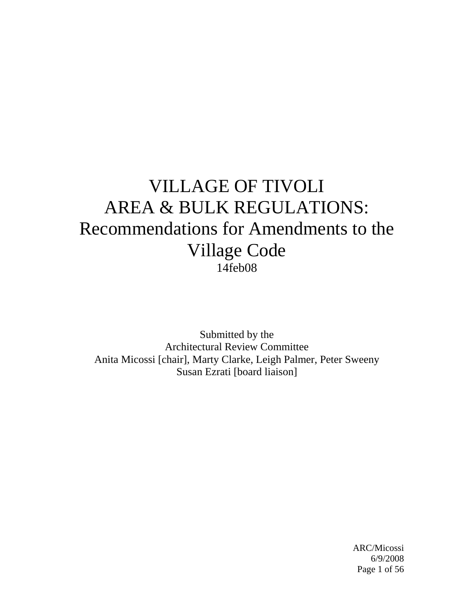# VILLAGE OF TIVOLI AREA & BULK REGULATIONS: Recommendations for Amendments to the Village Code 14feb08

Submitted by the Architectural Review Committee Anita Micossi [chair], Marty Clarke, Leigh Palmer, Peter Sweeny Susan Ezrati [board liaison]

 ARC/Micossi 6/9/2008 Page 1 of 56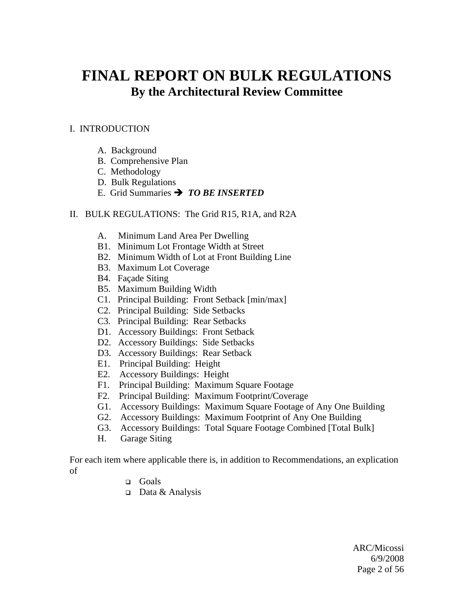## **FINAL REPORT ON BULK REGULATIONS By the Architectural Review Committee**

## I. INTRODUCTION

- A. Background
- B. Comprehensive Plan
- C. Methodology
- D. Bulk Regulations
- E. Grid Summaries  $\rightarrow$  *TO BE INSERTED*

#### II. BULK REGULATIONS: The Grid R15, R1A, and R2A

- A. Minimum Land Area Per Dwelling
- B1. Minimum Lot Frontage Width at Street
- B2. Minimum Width of Lot at Front Building Line
- B3. Maximum Lot Coverage
- B4. Façade Siting
- B5. Maximum Building Width
- C1. Principal Building: Front Setback [min/max]
- C2. Principal Building: Side Setbacks
- C3. Principal Building: Rear Setbacks
- D1. Accessory Buildings: Front Setback
- D2. Accessory Buildings: Side Setbacks
- D3. Accessory Buildings: Rear Setback
- E1. Principal Building: Height
- E2. Accessory Buildings: Height
- F1. Principal Building: Maximum Square Footage
- F2. Principal Building: Maximum Footprint/Coverage
- G1. Accessory Buildings: Maximum Square Footage of Any One Building
- G2. Accessory Buildings: Maximum Footprint of Any One Building
- G3. Accessory Buildings: Total Square Footage Combined [Total Bulk]
- H. Garage Siting

For each item where applicable there is, in addition to Recommendations, an explication of

- Goals
- $\Box$  Data & Analysis

 ARC/Micossi 6/9/2008 Page 2 of 56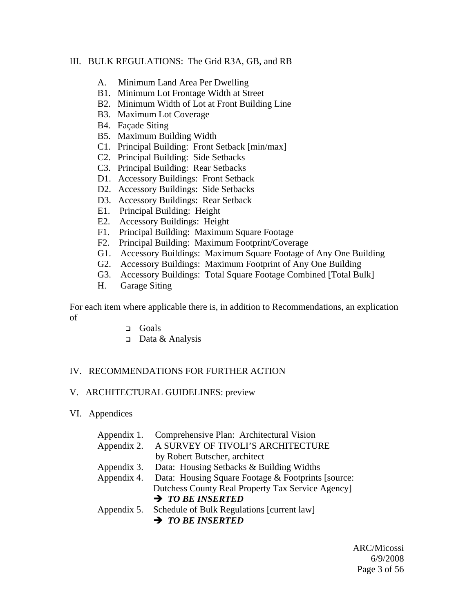#### III. BULK REGULATIONS: The Grid R3A, GB, and RB

- A. Minimum Land Area Per Dwelling
- B1. Minimum Lot Frontage Width at Street
- B2. Minimum Width of Lot at Front Building Line
- B3. Maximum Lot Coverage
- B4. Façade Siting
- B5. Maximum Building Width
- C1. Principal Building: Front Setback [min/max]
- C2. Principal Building: Side Setbacks
- C3. Principal Building: Rear Setbacks
- D1. Accessory Buildings: Front Setback
- D2. Accessory Buildings: Side Setbacks
- D3. Accessory Buildings: Rear Setback
- E1. Principal Building: Height
- E2. Accessory Buildings: Height
- F1. Principal Building: Maximum Square Footage
- F2. Principal Building: Maximum Footprint/Coverage
- G1. Accessory Buildings: Maximum Square Footage of Any One Building
- G2. Accessory Buildings: Maximum Footprint of Any One Building
- G3. Accessory Buildings: Total Square Footage Combined [Total Bulk]
- H. Garage Siting

For each item where applicable there is, in addition to Recommendations, an explication of

- **Q** Goals
- $\Box$  Data & Analysis

### IV. RECOMMENDATIONS FOR FURTHER ACTION

#### V. ARCHITECTURAL GUIDELINES: preview

#### VI. Appendices

| Appendix 1. | Comprehensive Plan: Architectural Vision               |
|-------------|--------------------------------------------------------|
| Appendix 2. | A SURVEY OF TIVOLI'S ARCHITECTURE                      |
|             | by Robert Butscher, architect                          |
| Appendix 3. | Data: Housing Setbacks & Building Widths               |
| Appendix 4. | Data: Housing Square Footage & Footprints [source:     |
|             | Dutchess County Real Property Tax Service Agency       |
|             | $\rightarrow$ TO BE INSERTED                           |
|             | Appendix 5. Schedule of Bulk Regulations [current law] |
|             | $\rightarrow$ TO BE INSERTED                           |

 ARC/Micossi 6/9/2008 Page 3 of 56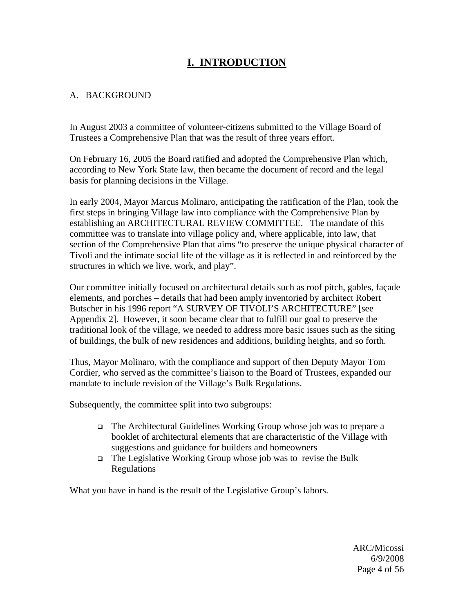## **I. INTRODUCTION**

## A. BACKGROUND

In August 2003 a committee of volunteer-citizens submitted to the Village Board of Trustees a Comprehensive Plan that was the result of three years effort.

On February 16, 2005 the Board ratified and adopted the Comprehensive Plan which, according to New York State law, then became the document of record and the legal basis for planning decisions in the Village.

In early 2004, Mayor Marcus Molinaro, anticipating the ratification of the Plan, took the first steps in bringing Village law into compliance with the Comprehensive Plan by establishing an ARCHITECTURAL REVIEW COMMITTEE. The mandate of this committee was to translate into village policy and, where applicable, into law, that section of the Comprehensive Plan that aims "to preserve the unique physical character of Tivoli and the intimate social life of the village as it is reflected in and reinforced by the structures in which we live, work, and play".

Our committee initially focused on architectural details such as roof pitch, gables, façade elements, and porches – details that had been amply inventoried by architect Robert Butscher in his 1996 report "A SURVEY OF TIVOLI'S ARCHITECTURE" [see Appendix 2]. However, it soon became clear that to fulfill our goal to preserve the traditional look of the village, we needed to address more basic issues such as the siting of buildings, the bulk of new residences and additions, building heights, and so forth.

Thus, Mayor Molinaro, with the compliance and support of then Deputy Mayor Tom Cordier, who served as the committee's liaison to the Board of Trustees, expanded our mandate to include revision of the Village's Bulk Regulations.

Subsequently, the committee split into two subgroups:

- The Architectural Guidelines Working Group whose job was to prepare a booklet of architectural elements that are characteristic of the Village with suggestions and guidance for builders and homeowners
- The Legislative Working Group whose job was to revise the Bulk Regulations

What you have in hand is the result of the Legislative Group's labors.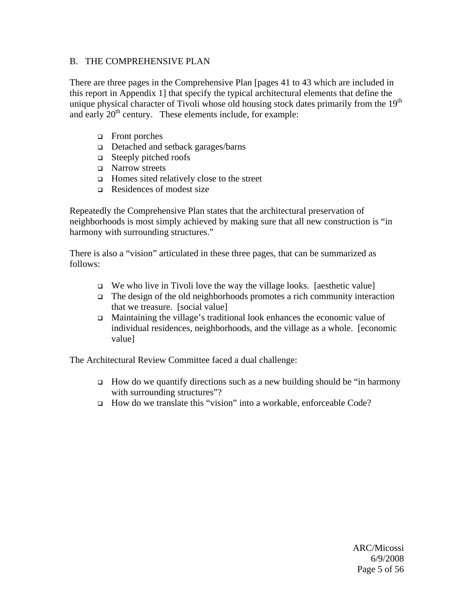#### B. THE COMPREHENSIVE PLAN

There are three pages in the Comprehensive Plan [pages 41 to 43 which are included in this report in Appendix 1] that specify the typical architectural elements that define the unique physical character of Tivoli whose old housing stock dates primarily from the  $19<sup>th</sup>$ and early 20<sup>th</sup> century. These elements include, for example:

- Front porches
- □ Detached and setback garages/barns
- □ Steeply pitched roofs
- □ Narrow streets
- $\Box$  Homes sited relatively close to the street
- $\Box$  Residences of modest size

Repeatedly the Comprehensive Plan states that the architectural preservation of neighborhoods is most simply achieved by making sure that all new construction is "in harmony with surrounding structures."

There is also a "vision" articulated in these three pages, that can be summarized as follows:

- $\Box$  We who live in Tivoli love the way the village looks. [aesthetic value]
- $\Box$  The design of the old neighborhoods promotes a rich community interaction that we treasure. [social value]
- Maintaining the village's traditional look enhances the economic value of individual residences, neighborhoods, and the village as a whole. [economic value]

The Architectural Review Committee faced a dual challenge:

- $\Box$  How do we quantify directions such as a new building should be "in harmony" with surrounding structures"?
- How do we translate this "vision" into a workable, enforceable Code?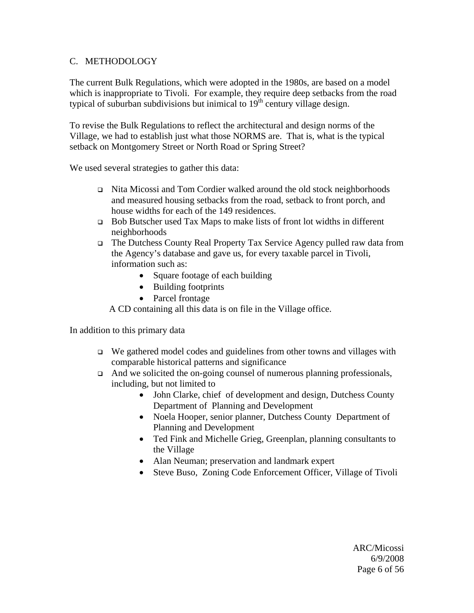### C. METHODOLOGY

The current Bulk Regulations, which were adopted in the 1980s, are based on a model which is inappropriate to Tivoli. For example, they require deep setbacks from the road typical of suburban subdivisions but inimical to  $19<sup>th</sup>$  century village design.

To revise the Bulk Regulations to reflect the architectural and design norms of the Village, we had to establish just what those NORMS are. That is, what is the typical setback on Montgomery Street or North Road or Spring Street?

We used several strategies to gather this data:

- Nita Micossi and Tom Cordier walked around the old stock neighborhoods and measured housing setbacks from the road, setback to front porch, and house widths for each of the 149 residences.
- □ Bob Butscher used Tax Maps to make lists of front lot widths in different neighborhoods
- The Dutchess County Real Property Tax Service Agency pulled raw data from the Agency's database and gave us, for every taxable parcel in Tivoli, information such as:
	- Square footage of each building
	- Building footprints
	- Parcel frontage

A CD containing all this data is on file in the Village office.

In addition to this primary data

- $\Box$  We gathered model codes and guidelines from other towns and villages with comparable historical patterns and significance
- $\Box$  And we solicited the on-going counsel of numerous planning professionals, including, but not limited to
	- John Clarke, chief of development and design, Dutchess County Department of Planning and Development
	- Noela Hooper, senior planner, Dutchess County Department of Planning and Development
	- Ted Fink and Michelle Grieg, Greenplan, planning consultants to the Village
	- Alan Neuman; preservation and landmark expert
	- Steve Buso, Zoning Code Enforcement Officer, Village of Tivoli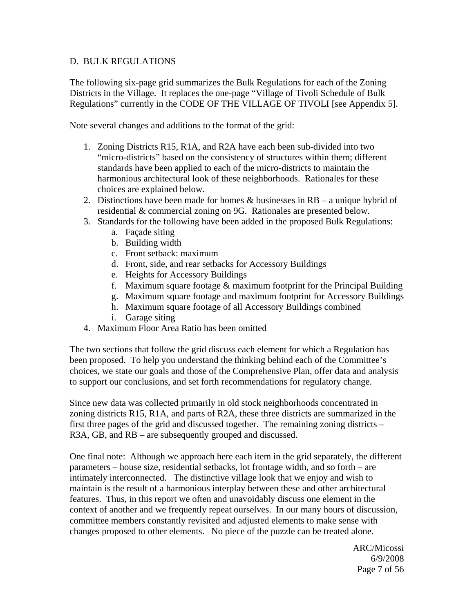#### D. BULK REGULATIONS

The following six-page grid summarizes the Bulk Regulations for each of the Zoning Districts in the Village. It replaces the one-page "Village of Tivoli Schedule of Bulk Regulations" currently in the CODE OF THE VILLAGE OF TIVOLI [see Appendix 5].

Note several changes and additions to the format of the grid:

- 1. Zoning Districts R15, R1A, and R2A have each been sub-divided into two "micro-districts" based on the consistency of structures within them; different standards have been applied to each of the micro-districts to maintain the harmonious architectural look of these neighborhoods. Rationales for these choices are explained below.
- 2. Distinctions have been made for homes  $&$  businesses in RB a unique hybrid of residential & commercial zoning on 9G. Rationales are presented below.
- 3. Standards for the following have been added in the proposed Bulk Regulations:
	- a. Façade siting
	- b. Building width
	- c. Front setback: maximum
	- d. Front, side, and rear setbacks for Accessory Buildings
	- e. Heights for Accessory Buildings
	- f. Maximum square footage & maximum footprint for the Principal Building
	- g. Maximum square footage and maximum footprint for Accessory Buildings
	- h. Maximum square footage of all Accessory Buildings combined
	- i. Garage siting
- 4. Maximum Floor Area Ratio has been omitted

The two sections that follow the grid discuss each element for which a Regulation has been proposed. To help you understand the thinking behind each of the Committee's choices, we state our goals and those of the Comprehensive Plan, offer data and analysis to support our conclusions, and set forth recommendations for regulatory change.

Since new data was collected primarily in old stock neighborhoods concentrated in zoning districts R15, R1A, and parts of R2A, these three districts are summarized in the first three pages of the grid and discussed together. The remaining zoning districts – R3A, GB, and RB – are subsequently grouped and discussed.

One final note: Although we approach here each item in the grid separately, the different parameters – house size, residential setbacks, lot frontage width, and so forth – are intimately interconnected. The distinctive village look that we enjoy and wish to maintain is the result of a harmonious interplay between these and other architectural features. Thus, in this report we often and unavoidably discuss one element in the context of another and we frequently repeat ourselves. In our many hours of discussion, committee members constantly revisited and adjusted elements to make sense with changes proposed to other elements. No piece of the puzzle can be treated alone.

 ARC/Micossi 6/9/2008 Page 7 of 56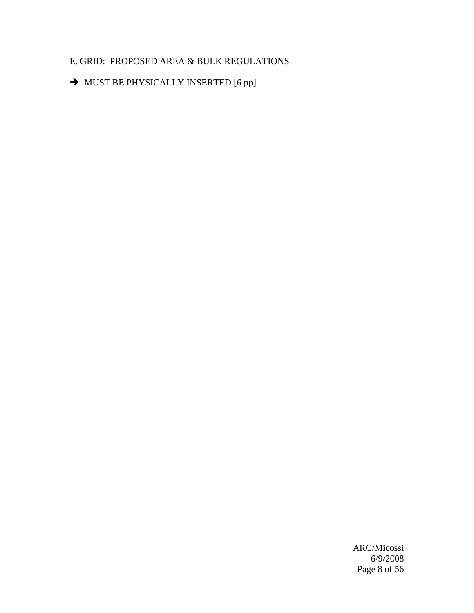## E. GRID: PROPOSED AREA & BULK REGULATIONS

 $\rightarrow$  MUST BE PHYSICALLY INSERTED [6 pp]

 ARC/Micossi 6/9/2008 Page 8 of 56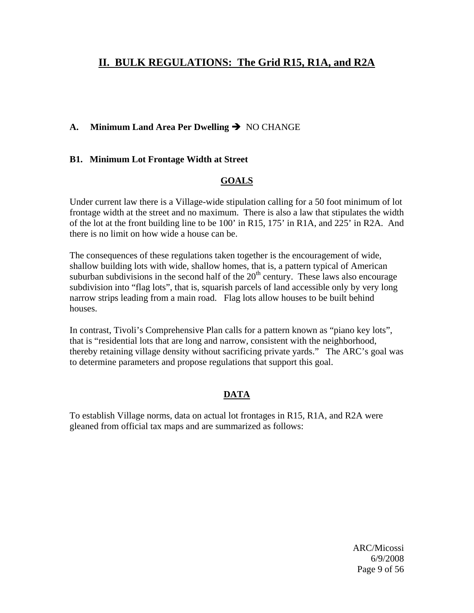## **II. BULK REGULATIONS: The Grid R15, R1A, and R2A**

## A. Minimum Land Area Per Dwelling  $\rightarrow$  NO CHANGE

#### **B1. Minimum Lot Frontage Width at Street**

### **GOALS**

Under current law there is a Village-wide stipulation calling for a 50 foot minimum of lot frontage width at the street and no maximum. There is also a law that stipulates the width of the lot at the front building line to be 100' in R15, 175' in R1A, and 225' in R2A. And there is no limit on how wide a house can be.

The consequences of these regulations taken together is the encouragement of wide, shallow building lots with wide, shallow homes, that is, a pattern typical of American suburban subdivisions in the second half of the  $20<sup>th</sup>$  century. These laws also encourage subdivision into "flag lots", that is, squarish parcels of land accessible only by very long narrow strips leading from a main road. Flag lots allow houses to be built behind houses.

In contrast, Tivoli's Comprehensive Plan calls for a pattern known as "piano key lots", that is "residential lots that are long and narrow, consistent with the neighborhood, thereby retaining village density without sacrificing private yards." The ARC's goal was to determine parameters and propose regulations that support this goal.

## **DATA**

To establish Village norms, data on actual lot frontages in R15, R1A, and R2A were gleaned from official tax maps and are summarized as follows:

 ARC/Micossi 6/9/2008 Page 9 of 56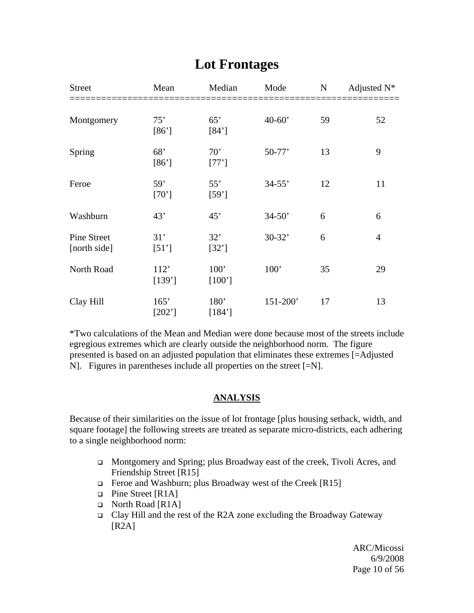| <b>Street</b>                      | Mean             | Median                     | Mode       | $\mathbf N$ | Adjusted $N^*$ |
|------------------------------------|------------------|----------------------------|------------|-------------|----------------|
| Montgomery                         | 75'<br>$[86']$   | 65'<br>[84']               | $40 - 60'$ | 59          | 52             |
| Spring                             | 68'<br>[86']     | 70'<br>$[77]$              | $50-77'$   | 13          | 9              |
| Feroe                              | 59'<br>[70]      | 55'<br>[59]                | $34 - 55'$ | 12          | 11             |
| Washburn                           | 43'              | 45'                        | $34 - 50'$ | 6           | 6              |
| <b>Pine Street</b><br>[north side] | 31'<br>[51]      | 32'<br>[32']               | $30 - 32'$ | 6           | $\overline{4}$ |
| North Road                         | 112'<br>$[139']$ | 100'<br>$[100']$           | 100'       | 35          | 29             |
| Clay Hill                          | 165'<br>$[202]$  | 180 <sup>'</sup><br>[184'] | 151-200'   | 17          | 13             |

## **Lot Frontages**

\*Two calculations of the Mean and Median were done because most of the streets include egregious extremes which are clearly outside the neighborhood norm. The figure presented is based on an adjusted population that eliminates these extremes [=Adjusted N]. Figures in parentheses include all properties on the street [=N].

## **ANALYSIS**

Because of their similarities on the issue of lot frontage [plus housing setback, width, and square footage] the following streets are treated as separate micro-districts, each adhering to a single neighborhood norm:

- Montgomery and Spring; plus Broadway east of the creek, Tivoli Acres, and Friendship Street [R15]
- Feroe and Washburn; plus Broadway west of the Creek  $[R15]$
- □ Pine Street [R1A]
- North Road [R1A]
- Clay Hill and the rest of the R2A zone excluding the Broadway Gateway [R2A]

 ARC/Micossi 6/9/2008 Page 10 of 56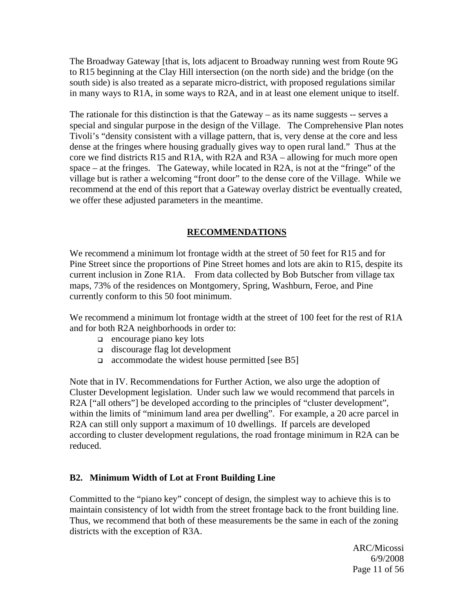The Broadway Gateway [that is, lots adjacent to Broadway running west from Route 9G to R15 beginning at the Clay Hill intersection (on the north side) and the bridge (on the south side) is also treated as a separate micro-district, with proposed regulations similar in many ways to R1A, in some ways to R2A, and in at least one element unique to itself.

The rationale for this distinction is that the Gateway  $-$  as its name suggests  $-$  serves a special and singular purpose in the design of the Village. The Comprehensive Plan notes Tivoli's "density consistent with a village pattern, that is, very dense at the core and less dense at the fringes where housing gradually gives way to open rural land." Thus at the core we find districts R15 and R1A, with R2A and R3A – allowing for much more open space – at the fringes. The Gateway, while located in R2A, is not at the "fringe" of the village but is rather a welcoming "front door" to the dense core of the Village. While we recommend at the end of this report that a Gateway overlay district be eventually created, we offer these adjusted parameters in the meantime.

## **RECOMMENDATIONS**

We recommend a minimum lot frontage width at the street of 50 feet for R15 and for Pine Street since the proportions of Pine Street homes and lots are akin to R15, despite its current inclusion in Zone R1A. From data collected by Bob Butscher from village tax maps, 73% of the residences on Montgomery, Spring, Washburn, Feroe, and Pine currently conform to this 50 foot minimum.

We recommend a minimum lot frontage width at the street of 100 feet for the rest of R1A and for both R2A neighborhoods in order to:

- $\Box$  encourage piano key lots
- $\Box$  discourage flag lot development
- $\Box$  accommodate the widest house permitted [see B5]

Note that in IV. Recommendations for Further Action, we also urge the adoption of Cluster Development legislation. Under such law we would recommend that parcels in R2A ["all others"] be developed according to the principles of "cluster development", within the limits of "minimum land area per dwelling". For example, a 20 acre parcel in R2A can still only support a maximum of 10 dwellings. If parcels are developed according to cluster development regulations, the road frontage minimum in R2A can be reduced.

### **B2. Minimum Width of Lot at Front Building Line**

Committed to the "piano key" concept of design, the simplest way to achieve this is to maintain consistency of lot width from the street frontage back to the front building line. Thus, we recommend that both of these measurements be the same in each of the zoning districts with the exception of R3A.

 ARC/Micossi 6/9/2008 Page 11 of 56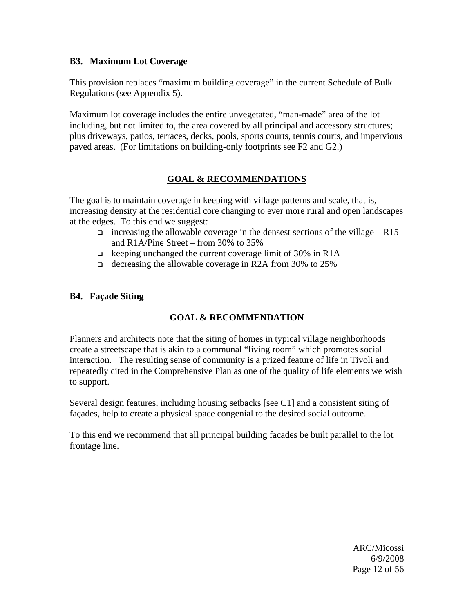#### **B3. Maximum Lot Coverage**

This provision replaces "maximum building coverage" in the current Schedule of Bulk Regulations (see Appendix 5).

Maximum lot coverage includes the entire unvegetated, "man-made" area of the lot including, but not limited to, the area covered by all principal and accessory structures; plus driveways, patios, terraces, decks, pools, sports courts, tennis courts, and impervious paved areas. (For limitations on building-only footprints see F2 and G2.)

## **GOAL & RECOMMENDATIONS**

The goal is to maintain coverage in keeping with village patterns and scale, that is, increasing density at the residential core changing to ever more rural and open landscapes at the edges. To this end we suggest:

- increasing the allowable coverage in the densest sections of the village R15 and R1A/Pine Street – from 30% to 35%
- $\Box$  keeping unchanged the current coverage limit of 30% in R1A
- decreasing the allowable coverage in R2A from 30% to 25%

### **B4. Façade Siting**

### **GOAL & RECOMMENDATION**

Planners and architects note that the siting of homes in typical village neighborhoods create a streetscape that is akin to a communal "living room" which promotes social interaction. The resulting sense of community is a prized feature of life in Tivoli and repeatedly cited in the Comprehensive Plan as one of the quality of life elements we wish to support.

Several design features, including housing setbacks [see C1] and a consistent siting of façades, help to create a physical space congenial to the desired social outcome.

To this end we recommend that all principal building facades be built parallel to the lot frontage line.

 ARC/Micossi 6/9/2008 Page 12 of 56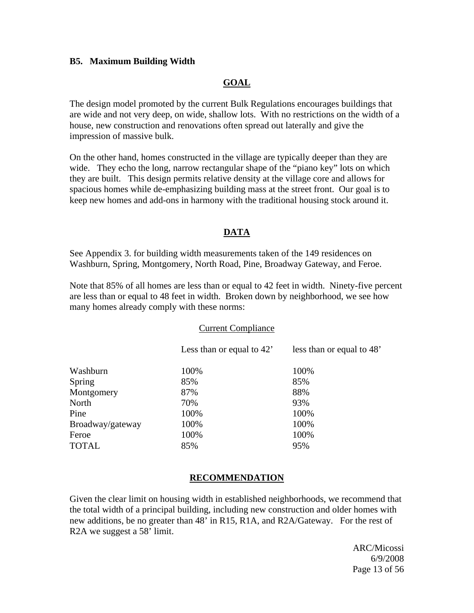#### **B5. Maximum Building Width**

### **GOAL**

The design model promoted by the current Bulk Regulations encourages buildings that are wide and not very deep, on wide, shallow lots. With no restrictions on the width of a house, new construction and renovations often spread out laterally and give the impression of massive bulk.

On the other hand, homes constructed in the village are typically deeper than they are wide. They echo the long, narrow rectangular shape of the "piano key" lots on which they are built. This design permits relative density at the village core and allows for spacious homes while de-emphasizing building mass at the street front. Our goal is to keep new homes and add-ons in harmony with the traditional housing stock around it.

#### **DATA**

See Appendix 3. for building width measurements taken of the 149 residences on Washburn, Spring, Montgomery, North Road, Pine, Broadway Gateway, and Feroe.

Note that 85% of all homes are less than or equal to 42 feet in width. Ninety-five percent are less than or equal to 48 feet in width. Broken down by neighborhood, we see how many homes already comply with these norms:

#### Current Compliance

|                  | Less than or equal to $42'$ | less than or equal to 48' |
|------------------|-----------------------------|---------------------------|
| Washburn         | 100%                        | 100%                      |
| Spring           | 85%                         | 85%                       |
| Montgomery       | 87%                         | 88%                       |
| North            | 70%                         | 93%                       |
| Pine             | 100%                        | 100%                      |
| Broadway/gateway | 100%                        | 100%                      |
| Feroe            | 100%                        | 100%                      |
| <b>TOTAL</b>     | 85%                         | 95%                       |

### **RECOMMENDATION**

Given the clear limit on housing width in established neighborhoods, we recommend that the total width of a principal building, including new construction and older homes with new additions, be no greater than 48' in R15, R1A, and R2A/Gateway. For the rest of R2A we suggest a 58' limit.

 ARC/Micossi 6/9/2008 Page 13 of 56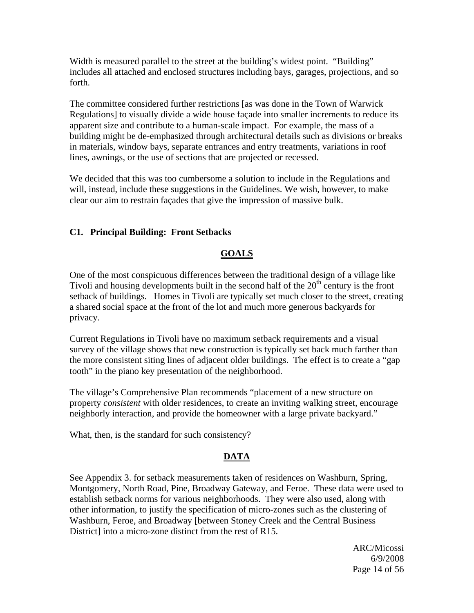Width is measured parallel to the street at the building's widest point. "Building" includes all attached and enclosed structures including bays, garages, projections, and so forth.

The committee considered further restrictions [as was done in the Town of Warwick Regulations] to visually divide a wide house façade into smaller increments to reduce its apparent size and contribute to a human-scale impact. For example, the mass of a building might be de-emphasized through architectural details such as divisions or breaks in materials, window bays, separate entrances and entry treatments, variations in roof lines, awnings, or the use of sections that are projected or recessed.

We decided that this was too cumbersome a solution to include in the Regulations and will, instead, include these suggestions in the Guidelines. We wish, however, to make clear our aim to restrain façades that give the impression of massive bulk.

### **C1. Principal Building: Front Setbacks**

#### **GOALS**

One of the most conspicuous differences between the traditional design of a village like Tivoli and housing developments built in the second half of the  $20<sup>th</sup>$  century is the front setback of buildings. Homes in Tivoli are typically set much closer to the street, creating a shared social space at the front of the lot and much more generous backyards for privacy.

Current Regulations in Tivoli have no maximum setback requirements and a visual survey of the village shows that new construction is typically set back much farther than the more consistent siting lines of adjacent older buildings. The effect is to create a "gap tooth" in the piano key presentation of the neighborhood.

The village's Comprehensive Plan recommends "placement of a new structure on property *consistent* with older residences, to create an inviting walking street, encourage neighborly interaction, and provide the homeowner with a large private backyard."

What, then, is the standard for such consistency?

### **DATA**

See Appendix 3. for setback measurements taken of residences on Washburn, Spring, Montgomery, North Road, Pine, Broadway Gateway, and Feroe. These data were used to establish setback norms for various neighborhoods. They were also used, along with other information, to justify the specification of micro-zones such as the clustering of Washburn, Feroe, and Broadway [between Stoney Creek and the Central Business District] into a micro-zone distinct from the rest of R15.

 ARC/Micossi 6/9/2008 Page 14 of 56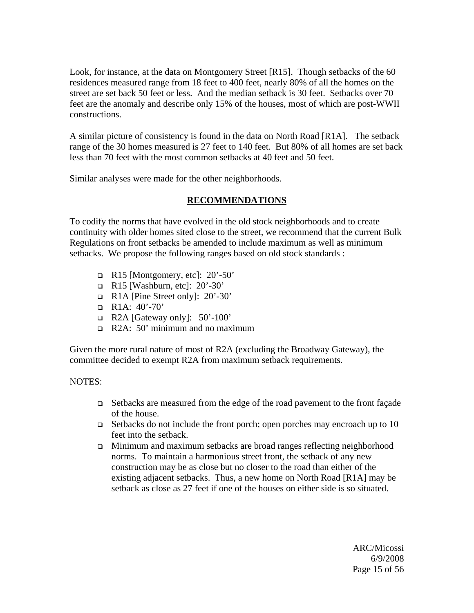Look, for instance, at the data on Montgomery Street [R15]. Though setbacks of the 60 residences measured range from 18 feet to 400 feet, nearly 80% of all the homes on the street are set back 50 feet or less. And the median setback is 30 feet. Setbacks over 70 feet are the anomaly and describe only 15% of the houses, most of which are post-WWII constructions.

A similar picture of consistency is found in the data on North Road [R1A]. The setback range of the 30 homes measured is 27 feet to 140 feet. But 80% of all homes are set back less than 70 feet with the most common setbacks at 40 feet and 50 feet.

Similar analyses were made for the other neighborhoods.

#### **RECOMMENDATIONS**

To codify the norms that have evolved in the old stock neighborhoods and to create continuity with older homes sited close to the street, we recommend that the current Bulk Regulations on front setbacks be amended to include maximum as well as minimum setbacks. We propose the following ranges based on old stock standards :

- $\Box$  R15 [Montgomery, etc]: 20'-50'
- $\Box$  R15 [Washburn, etc]: 20'-30'
- $\Box$  R1A [Pine Street only]: 20'-30'
- $\Box$  R1A: 40'-70'
- $\Box$  R2A [Gateway only]: 50'-100'
- R2A: 50' minimum and no maximum

Given the more rural nature of most of R2A (excluding the Broadway Gateway), the committee decided to exempt R2A from maximum setback requirements.

#### NOTES:

- Setbacks are measured from the edge of the road pavement to the front façade of the house.
- $\Box$  Setbacks do not include the front porch; open porches may encroach up to 10 feet into the setback.
- Minimum and maximum setbacks are broad ranges reflecting neighborhood norms. To maintain a harmonious street front, the setback of any new construction may be as close but no closer to the road than either of the existing adjacent setbacks. Thus, a new home on North Road [R1A] may be setback as close as 27 feet if one of the houses on either side is so situated.

 ARC/Micossi 6/9/2008 Page 15 of 56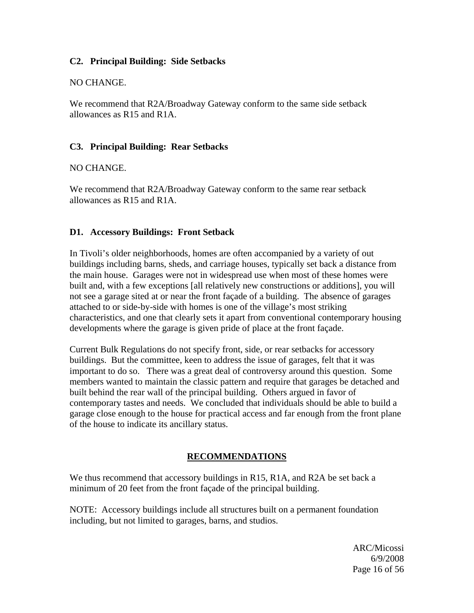#### **C2. Principal Building: Side Setbacks**

#### NO CHANGE.

We recommend that R2A/Broadway Gateway conform to the same side setback allowances as R15 and R1A.

#### **C3. Principal Building: Rear Setbacks**

#### NO CHANGE.

We recommend that R2A/Broadway Gateway conform to the same rear setback allowances as R15 and R1A.

#### **D1. Accessory Buildings: Front Setback**

In Tivoli's older neighborhoods, homes are often accompanied by a variety of out buildings including barns, sheds, and carriage houses, typically set back a distance from the main house. Garages were not in widespread use when most of these homes were built and, with a few exceptions [all relatively new constructions or additions], you will not see a garage sited at or near the front façade of a building. The absence of garages attached to or side-by-side with homes is one of the village's most striking characteristics, and one that clearly sets it apart from conventional contemporary housing developments where the garage is given pride of place at the front façade.

Current Bulk Regulations do not specify front, side, or rear setbacks for accessory buildings. But the committee, keen to address the issue of garages, felt that it was important to do so. There was a great deal of controversy around this question. Some members wanted to maintain the classic pattern and require that garages be detached and built behind the rear wall of the principal building. Others argued in favor of contemporary tastes and needs. We concluded that individuals should be able to build a garage close enough to the house for practical access and far enough from the front plane of the house to indicate its ancillary status.

#### **RECOMMENDATIONS**

We thus recommend that accessory buildings in R15, R1A, and R2A be set back a minimum of 20 feet from the front façade of the principal building.

NOTE: Accessory buildings include all structures built on a permanent foundation including, but not limited to garages, barns, and studios.

 ARC/Micossi 6/9/2008 Page 16 of 56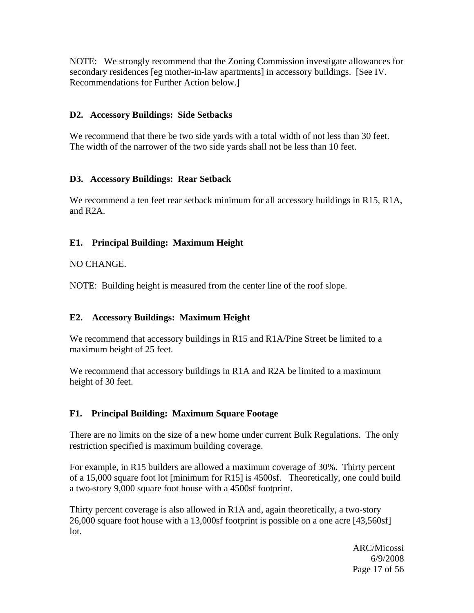NOTE: We strongly recommend that the Zoning Commission investigate allowances for secondary residences [eg mother-in-law apartments] in accessory buildings. [See IV. Recommendations for Further Action below.]

## **D2. Accessory Buildings: Side Setbacks**

We recommend that there be two side yards with a total width of not less than 30 feet. The width of the narrower of the two side yards shall not be less than 10 feet.

### **D3. Accessory Buildings: Rear Setback**

We recommend a ten feet rear setback minimum for all accessory buildings in R15, R1A, and R2A.

## **E1. Principal Building: Maximum Height**

### NO CHANGE.

NOTE: Building height is measured from the center line of the roof slope.

## **E2. Accessory Buildings: Maximum Height**

We recommend that accessory buildings in R15 and R1A/Pine Street be limited to a maximum height of 25 feet.

We recommend that accessory buildings in R<sub>1</sub>A and R<sub>2</sub>A be limited to a maximum height of 30 feet.

## **F1. Principal Building: Maximum Square Footage**

There are no limits on the size of a new home under current Bulk Regulations. The only restriction specified is maximum building coverage.

For example, in R15 builders are allowed a maximum coverage of 30%. Thirty percent of a 15,000 square foot lot [minimum for R15] is 4500sf. Theoretically, one could build a two-story 9,000 square foot house with a 4500sf footprint.

Thirty percent coverage is also allowed in R1A and, again theoretically, a two-story 26,000 square foot house with a 13,000sf footprint is possible on a one acre [43,560sf] lot.

 ARC/Micossi 6/9/2008 Page 17 of 56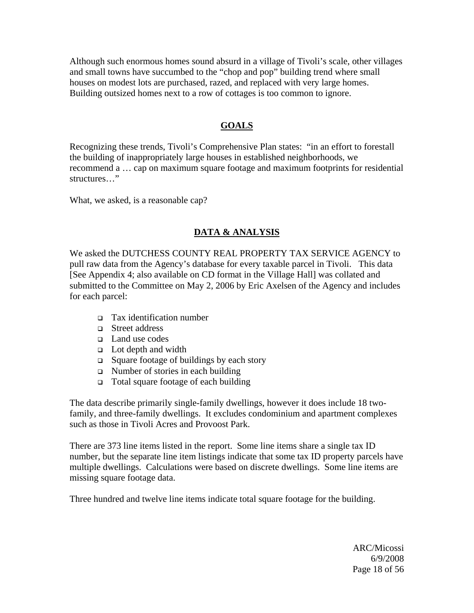Although such enormous homes sound absurd in a village of Tivoli's scale, other villages and small towns have succumbed to the "chop and pop" building trend where small houses on modest lots are purchased, razed, and replaced with very large homes. Building outsized homes next to a row of cottages is too common to ignore.

## **GOALS**

Recognizing these trends, Tivoli's Comprehensive Plan states: "in an effort to forestall the building of inappropriately large houses in established neighborhoods, we recommend a … cap on maximum square footage and maximum footprints for residential structures…"

What, we asked, is a reasonable cap?

### **DATA & ANALYSIS**

We asked the DUTCHESS COUNTY REAL PROPERTY TAX SERVICE AGENCY to pull raw data from the Agency's database for every taxable parcel in Tivoli. This data [See Appendix 4; also available on CD format in the Village Hall] was collated and submitted to the Committee on May 2, 2006 by Eric Axelsen of the Agency and includes for each parcel:

- Tax identification number
- □ Street address
- Land use codes
- $\Box$  Lot depth and width
- $\Box$  Square footage of buildings by each story
- $\Box$  Number of stories in each building
- □ Total square footage of each building

The data describe primarily single-family dwellings, however it does include 18 twofamily, and three-family dwellings. It excludes condominium and apartment complexes such as those in Tivoli Acres and Provoost Park.

There are 373 line items listed in the report. Some line items share a single tax ID number, but the separate line item listings indicate that some tax ID property parcels have multiple dwellings. Calculations were based on discrete dwellings. Some line items are missing square footage data.

Three hundred and twelve line items indicate total square footage for the building.

 ARC/Micossi 6/9/2008 Page 18 of 56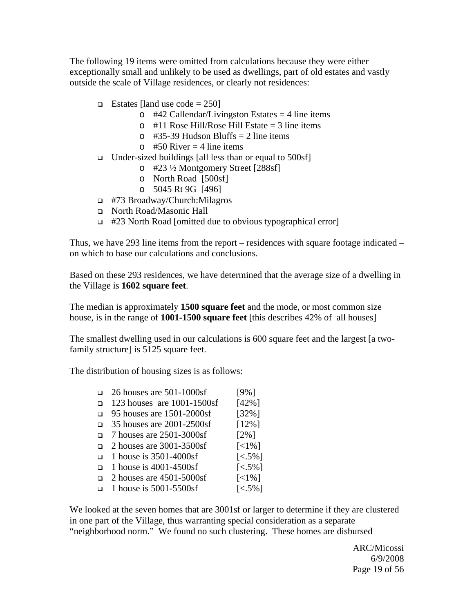The following 19 items were omitted from calculations because they were either exceptionally small and unlikely to be used as dwellings, part of old estates and vastly outside the scale of Village residences, or clearly not residences:

- **Estates [land use code = 250]** 
	- $\circ$  #42 Callendar/Livingston Estates = 4 line items
	- $\circ$  #11 Rose Hill/Rose Hill Estate = 3 line items
	- $\circ$  #35-39 Hudson Bluffs = 2 line items
	- $\circ$  #50 River = 4 line items
- $\Box$  Under-sized buildings [all less than or equal to 500sf]
	- o #23 ½ Montgomery Street [288sf]
	- o North Road [500sf]
	- o 5045 Rt 9G [496]
- #73 Broadway/Church:Milagros
- North Road/Masonic Hall
- #23 North Road [omitted due to obvious typographical error]

Thus, we have 293 line items from the report – residences with square footage indicated – on which to base our calculations and conclusions.

Based on these 293 residences, we have determined that the average size of a dwelling in the Village is **1602 square feet**.

The median is approximately **1500 square feet** and the mode, or most common size house, is in the range of **1001-1500 square feet** [this describes 42% of all houses]

The smallest dwelling used in our calculations is 600 square feet and the largest [a twofamily structure] is 5125 square feet.

The distribution of housing sizes is as follows:

- $\Box$  26 houses are 501-1000sf [9%]  $\Box$  123 houses are 1001-1500sf [42%] 95 houses are 1501-2000sf [32%] 35 houses are 2001-2500sf [12%]  $\Box$  7 houses are 2501-3000sf [2%] 2 houses are  $3001 - 3500$ sf [<1%]  $\Box$  1 house is 3501-4000sf [<.5%]
- $\Box$  1 house is 4001-4500sf [<.5%]
- 2 houses are  $4501 5000$ sf [<1%]
- 1 house is 5001-5500sf  $\lbrack 589 \rbrack$

We looked at the seven homes that are 3001sf or larger to determine if they are clustered in one part of the Village, thus warranting special consideration as a separate "neighborhood norm." We found no such clustering. These homes are disbursed

 ARC/Micossi 6/9/2008 Page 19 of 56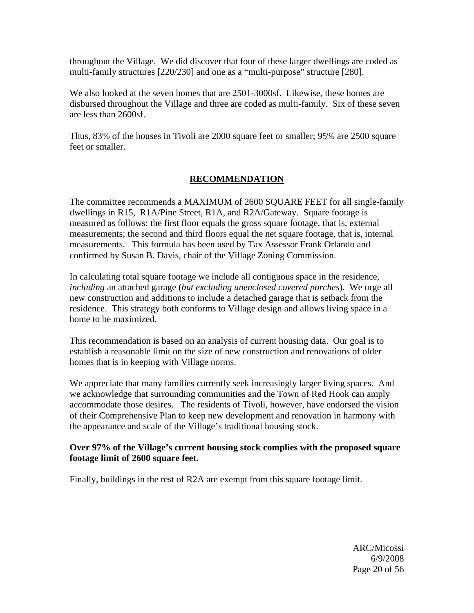throughout the Village. We did discover that four of these larger dwellings are coded as multi-family structures [220/230] and one as a "multi-purpose" structure [280].

We also looked at the seven homes that are 2501-3000sf. Likewise, these homes are disbursed throughout the Village and three are coded as multi-family. Six of these seven are less than 2600sf.

Thus, 83% of the houses in Tivoli are 2000 square feet or smaller; 95% are 2500 square feet or smaller.

### **RECOMMENDATION**

The committee recommends a MAXIMUM of 2600 SQUARE FEET for all single-family dwellings in R15, R1A/Pine Street, R1A, and R2A/Gateway. Square footage is measured as follows: the first floor equals the gross square footage, that is, external measurements; the second and third floors equal the net square footage, that is, internal measurements. This formula has been used by Tax Assessor Frank Orlando and confirmed by Susan B. Davis, chair of the Village Zoning Commission.

In calculating total square footage we include all contiguous space in the residence, *including* an attached garage (*but excluding unenclosed covered porches*). We urge all new construction and additions to include a detached garage that is setback from the residence. This strategy both conforms to Village design and allows living space in a home to be maximized.

This recommendation is based on an analysis of current housing data. Our goal is to establish a reasonable limit on the size of new construction and renovations of older homes that is in keeping with Village norms.

We appreciate that many families currently seek increasingly larger living spaces. And we acknowledge that surrounding communities and the Town of Red Hook can amply accommodate those desires. The residents of Tivoli, however, have endorsed the vision of their Comprehensive Plan to keep new development and renovation in harmony with the appearance and scale of the Village's traditional housing stock.

#### **Over 97% of the Village's current housing stock complies with the proposed square footage limit of 2600 square feet.**

Finally, buildings in the rest of R2A are exempt from this square footage limit.

 ARC/Micossi 6/9/2008 Page 20 of 56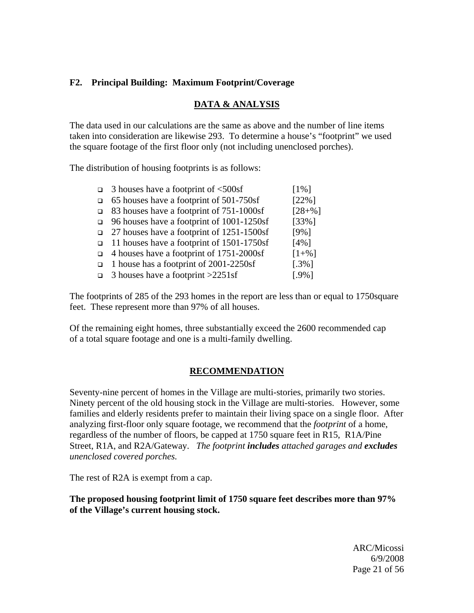## **F2. Principal Building: Maximum Footprint/Coverage**

#### **DATA & ANALYSIS**

The data used in our calculations are the same as above and the number of line items taken into consideration are likewise 293. To determine a house's "footprint" we used the square footage of the first floor only (not including unenclosed porches).

The distribution of housing footprints is as follows:

| 3 houses have a footprint of $\leq 500$ sf     | $[1\%]$             |
|------------------------------------------------|---------------------|
| $\Box$ 65 houses have a footprint of 501-750sf | $[22\%]$            |
| □ 83 houses have a footprint of 751-1000sf     | $[28+%]$            |
| □ 96 houses have a footprint of $1001-1250$ sf | $[33\%]$            |
| 27 houses have a footprint of 1251-1500sf      | $[9\%]$             |
| □ 11 houses have a footprint of $1501-1750$ sf | $[4\%]$             |
| 4 houses have a footprint of $1751-2000$ sf    | $[1 + \frac{9}{6}]$ |
| 1 house has a footprint of 2001-2250sf         | $[.3\%]$            |
| 3 houses have a footprint > 2251sf             | $[.9\%]$            |

The footprints of 285 of the 293 homes in the report are less than or equal to 1750square feet. These represent more than 97% of all houses.

Of the remaining eight homes, three substantially exceed the 2600 recommended cap of a total square footage and one is a multi-family dwelling.

### **RECOMMENDATION**

Seventy-nine percent of homes in the Village are multi-stories, primarily two stories. Ninety percent of the old housing stock in the Village are multi-stories. However, some families and elderly residents prefer to maintain their living space on a single floor. After analyzing first-floor only square footage, we recommend that the *footprint* of a home, regardless of the number of floors, be capped at 1750 square feet in R15, R1A/Pine Street, R1A, and R2A/Gateway. *The footprint includes attached garages and excludes unenclosed covered porches.* 

The rest of R2A is exempt from a cap.

**The proposed housing footprint limit of 1750 square feet describes more than 97% of the Village's current housing stock.** 

 ARC/Micossi 6/9/2008 Page 21 of 56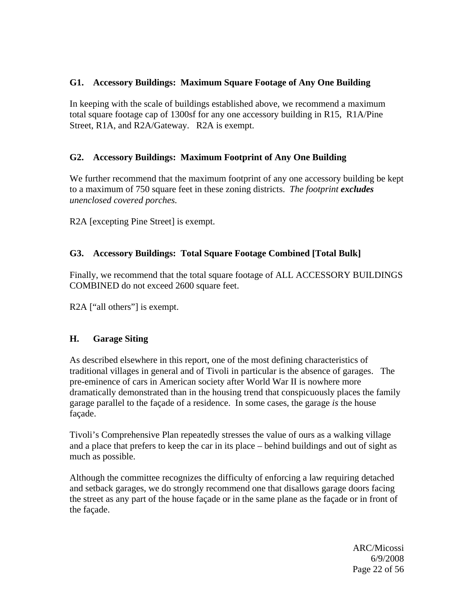## **G1. Accessory Buildings: Maximum Square Footage of Any One Building**

In keeping with the scale of buildings established above, we recommend a maximum total square footage cap of 1300sf for any one accessory building in R15, R1A/Pine Street, R1A, and R2A/Gateway. R2A is exempt.

## **G2. Accessory Buildings: Maximum Footprint of Any One Building**

We further recommend that the maximum footprint of any one accessory building be kept to a maximum of 750 square feet in these zoning districts. *The footprint excludes unenclosed covered porches.* 

R2A [excepting Pine Street] is exempt.

## **G3. Accessory Buildings: Total Square Footage Combined [Total Bulk]**

Finally, we recommend that the total square footage of ALL ACCESSORY BUILDINGS COMBINED do not exceed 2600 square feet.

R<sub>2</sub>A ["all others"] is exempt.

### **H. Garage Siting**

As described elsewhere in this report, one of the most defining characteristics of traditional villages in general and of Tivoli in particular is the absence of garages. The pre-eminence of cars in American society after World War II is nowhere more dramatically demonstrated than in the housing trend that conspicuously places the family garage parallel to the façade of a residence. In some cases, the garage *is* the house façade.

Tivoli's Comprehensive Plan repeatedly stresses the value of ours as a walking village and a place that prefers to keep the car in its place – behind buildings and out of sight as much as possible.

Although the committee recognizes the difficulty of enforcing a law requiring detached and setback garages, we do strongly recommend one that disallows garage doors facing the street as any part of the house façade or in the same plane as the façade or in front of the façade.

 ARC/Micossi 6/9/2008 Page 22 of 56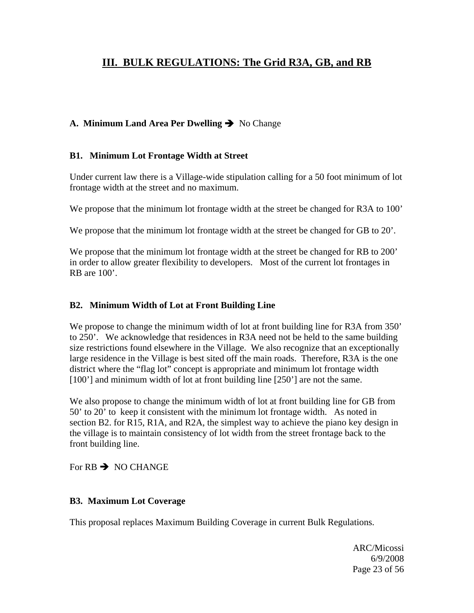## **III. BULK REGULATIONS: The Grid R3A, GB, and RB**

## A. Minimum Land Area Per Dwelling  $\rightarrow$  No Change

#### **B1. Minimum Lot Frontage Width at Street**

Under current law there is a Village-wide stipulation calling for a 50 foot minimum of lot frontage width at the street and no maximum.

We propose that the minimum lot frontage width at the street be changed for R3A to 100'

We propose that the minimum lot frontage width at the street be changed for GB to 20'.

We propose that the minimum lot frontage width at the street be changed for RB to 200' in order to allow greater flexibility to developers. Most of the current lot frontages in RB are  $100'$ .

#### **B2. Minimum Width of Lot at Front Building Line**

We propose to change the minimum width of lot at front building line for R3A from 350' to 250'. We acknowledge that residences in R3A need not be held to the same building size restrictions found elsewhere in the Village. We also recognize that an exceptionally large residence in the Village is best sited off the main roads. Therefore, R3A is the one district where the "flag lot" concept is appropriate and minimum lot frontage width [100'] and minimum width of lot at front building line [250'] are not the same.

We also propose to change the minimum width of lot at front building line for GB from 50' to 20' to keep it consistent with the minimum lot frontage width. As noted in section B2. for R15, R1A, and R2A, the simplest way to achieve the piano key design in the village is to maintain consistency of lot width from the street frontage back to the front building line.

For  $RB \rightarrow NO$  CHANGE

#### **B3. Maximum Lot Coverage**

This proposal replaces Maximum Building Coverage in current Bulk Regulations.

 ARC/Micossi 6/9/2008 Page 23 of 56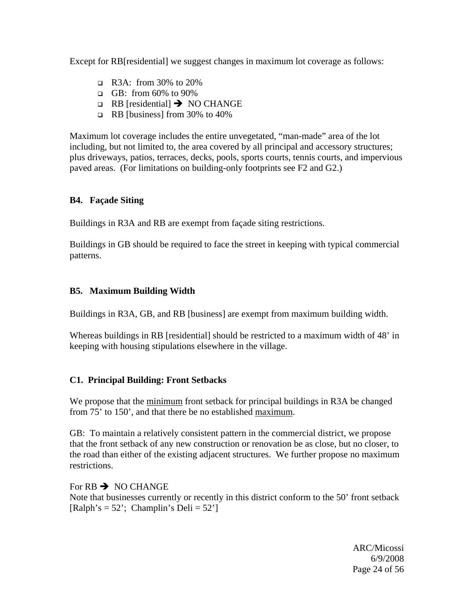Except for RB [residential] we suggest changes in maximum lot coverage as follows:

- R3A: from 30% to 20%
- GB: from  $60\%$  to  $90\%$
- $\Box$  RB [residential]  $\rightarrow$  NO CHANGE
- $\Box$  RB [business] from 30% to 40%

Maximum lot coverage includes the entire unvegetated, "man-made" area of the lot including, but not limited to, the area covered by all principal and accessory structures; plus driveways, patios, terraces, decks, pools, sports courts, tennis courts, and impervious paved areas. (For limitations on building-only footprints see F2 and G2.)

### **B4. Façade Siting**

Buildings in R3A and RB are exempt from façade siting restrictions.

Buildings in GB should be required to face the street in keeping with typical commercial patterns.

## **B5. Maximum Building Width**

Buildings in R3A, GB, and RB [business] are exempt from maximum building width.

Whereas buildings in RB [residential] should be restricted to a maximum width of 48' in keeping with housing stipulations elsewhere in the village.

## **C1. Principal Building: Front Setbacks**

We propose that the minimum front setback for principal buildings in R3A be changed from 75' to 150', and that there be no established maximum.

GB: To maintain a relatively consistent pattern in the commercial district, we propose that the front setback of any new construction or renovation be as close, but no closer, to the road than either of the existing adjacent structures. We further propose no maximum restrictions.

### For  $RB \rightarrow NO$  CHANGE

Note that businesses currently or recently in this district conform to the 50' front setback  $[Ralph's = 52$ ; Champlin's Deli =  $52$ ']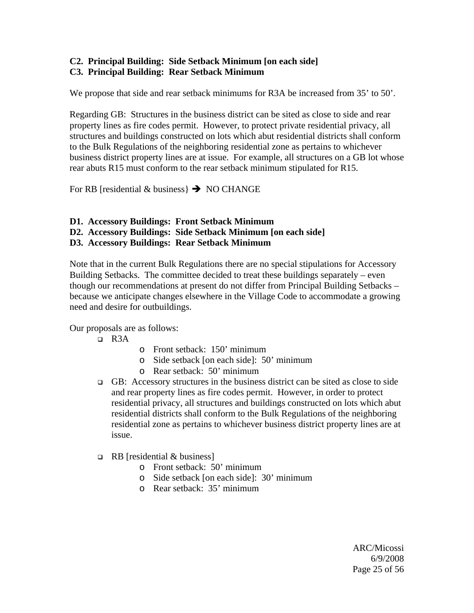## **C2. Principal Building: Side Setback Minimum [on each side] C3. Principal Building: Rear Setback Minimum**

We propose that side and rear setback minimums for R3A be increased from 35' to 50'.

Regarding GB: Structures in the business district can be sited as close to side and rear property lines as fire codes permit. However, to protect private residential privacy, all structures and buildings constructed on lots which abut residential districts shall conform to the Bulk Regulations of the neighboring residential zone as pertains to whichever business district property lines are at issue. For example, all structures on a GB lot whose rear abuts R15 must conform to the rear setback minimum stipulated for R15.

For RB [residential & business}  $\rightarrow$  NO CHANGE

- **D1. Accessory Buildings: Front Setback Minimum**
- **D2. Accessory Buildings: Side Setback Minimum [on each side]**
- **D3. Accessory Buildings: Rear Setback Minimum**

Note that in the current Bulk Regulations there are no special stipulations for Accessory Building Setbacks. The committee decided to treat these buildings separately – even though our recommendations at present do not differ from Principal Building Setbacks – because we anticipate changes elsewhere in the Village Code to accommodate a growing need and desire for outbuildings.

Our proposals are as follows:

- $R3A$
- o Front setback: 150' minimum
- o Side setback [on each side]: 50' minimum
- o Rear setback: 50' minimum
- GB: Accessory structures in the business district can be sited as close to side and rear property lines as fire codes permit. However, in order to protect residential privacy, all structures and buildings constructed on lots which abut residential districts shall conform to the Bulk Regulations of the neighboring residential zone as pertains to whichever business district property lines are at issue.
- $\Box$  RB [residential & business]
	- o Front setback: 50' minimum
	- o Side setback [on each side]: 30' minimum
	- o Rear setback: 35' minimum

 ARC/Micossi 6/9/2008 Page 25 of 56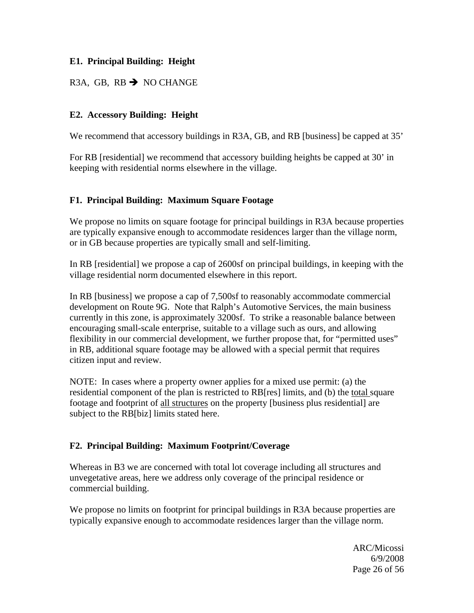### **E1. Principal Building: Height**

## R3A, GB, RB  $\rightarrow$  NO CHANGE

### **E2. Accessory Building: Height**

We recommend that accessory buildings in R3A, GB, and RB [business] be capped at 35'

For RB [residential] we recommend that accessory building heights be capped at 30' in keeping with residential norms elsewhere in the village.

### **F1. Principal Building: Maximum Square Footage**

We propose no limits on square footage for principal buildings in R3A because properties are typically expansive enough to accommodate residences larger than the village norm, or in GB because properties are typically small and self-limiting.

In RB [residential] we propose a cap of 2600sf on principal buildings, in keeping with the village residential norm documented elsewhere in this report.

In RB [business] we propose a cap of 7,500sf to reasonably accommodate commercial development on Route 9G. Note that Ralph's Automotive Services, the main business currently in this zone, is approximately 3200sf. To strike a reasonable balance between encouraging small-scale enterprise, suitable to a village such as ours, and allowing flexibility in our commercial development, we further propose that, for "permitted uses" in RB, additional square footage may be allowed with a special permit that requires citizen input and review.

NOTE: In cases where a property owner applies for a mixed use permit: (a) the residential component of the plan is restricted to RB[res] limits, and (b) the total square footage and footprint of all structures on the property [business plus residential] are subject to the RB[biz] limits stated here.

### **F2. Principal Building: Maximum Footprint/Coverage**

Whereas in B3 we are concerned with total lot coverage including all structures and unvegetative areas, here we address only coverage of the principal residence or commercial building.

We propose no limits on footprint for principal buildings in R<sub>3</sub>A because properties are typically expansive enough to accommodate residences larger than the village norm.

 ARC/Micossi 6/9/2008 Page 26 of 56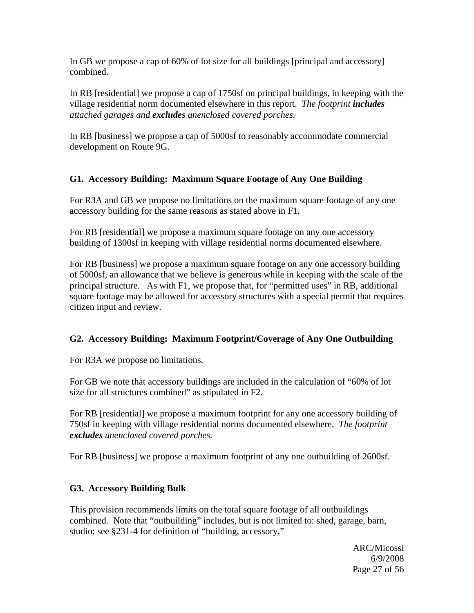In GB we propose a cap of 60% of lot size for all buildings [principal and accessory] combined.

In RB [residential] we propose a cap of 1750sf on principal buildings, in keeping with the village residential norm documented elsewhere in this report. *The footprint includes attached garages and excludes unenclosed covered porches.* 

In RB [business] we propose a cap of 5000sf to reasonably accommodate commercial development on Route 9G.

## **G1. Accessory Building: Maximum Square Footage of Any One Building**

For R3A and GB we propose no limitations on the maximum square footage of any one accessory building for the same reasons as stated above in F1.

For RB [residential] we propose a maximum square footage on any one accessory building of 1300sf in keeping with village residential norms documented elsewhere.

For RB [business] we propose a maximum square footage on any one accessory building of 5000sf, an allowance that we believe is generous while in keeping with the scale of the principal structure. As with F1, we propose that, for "permitted uses" in RB, additional square footage may be allowed for accessory structures with a special permit that requires citizen input and review.

### **G2. Accessory Building: Maximum Footprint/Coverage of Any One Outbuilding**

For R3A we propose no limitations.

For GB we note that accessory buildings are included in the calculation of "60% of lot size for all structures combined" as stipulated in F2.

For RB [residential] we propose a maximum footprint for any one accessory building of 750sf in keeping with village residential norms documented elsewhere. *The footprint excludes unenclosed covered porches.* 

For RB [business] we propose a maximum footprint of any one outbuilding of 2600sf.

### **G3. Accessory Building Bulk**

This provision recommends limits on the total square footage of all outbuildings combined. Note that "outbuilding" includes, but is not limited to: shed, garage, barn, studio; see §231-4 for definition of "building, accessory."

 ARC/Micossi 6/9/2008 Page 27 of 56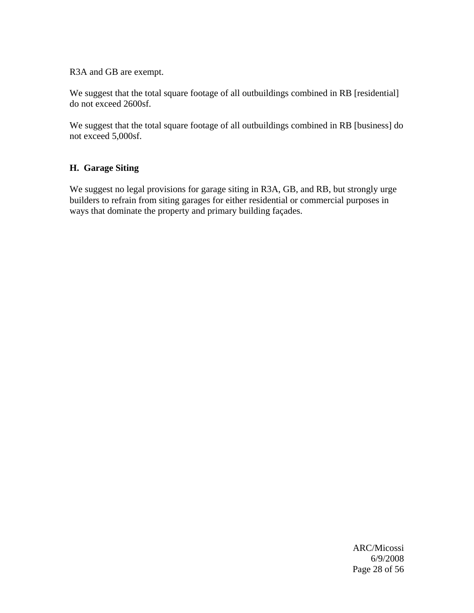R3A and GB are exempt.

We suggest that the total square footage of all outbuildings combined in RB [residential] do not exceed 2600sf.

We suggest that the total square footage of all outbuildings combined in RB [business] do not exceed 5,000sf.

## **H. Garage Siting**

We suggest no legal provisions for garage siting in R3A, GB, and RB, but strongly urge builders to refrain from siting garages for either residential or commercial purposes in ways that dominate the property and primary building façades.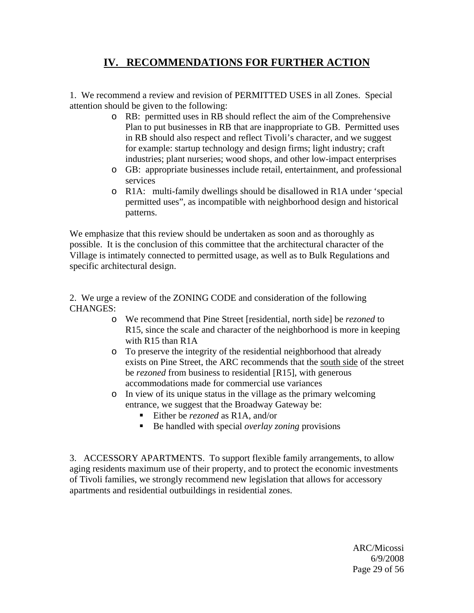## **IV. RECOMMENDATIONS FOR FURTHER ACTION**

1. We recommend a review and revision of PERMITTED USES in all Zones. Special attention should be given to the following:

- o RB: permitted uses in RB should reflect the aim of the Comprehensive Plan to put businesses in RB that are inappropriate to GB. Permitted uses in RB should also respect and reflect Tivoli's character, and we suggest for example: startup technology and design firms; light industry; craft industries; plant nurseries; wood shops, and other low-impact enterprises
- o GB: appropriate businesses include retail, entertainment, and professional services
- o R1A: multi-family dwellings should be disallowed in R1A under 'special permitted uses", as incompatible with neighborhood design and historical patterns.

We emphasize that this review should be undertaken as soon and as thoroughly as possible. It is the conclusion of this committee that the architectural character of the Village is intimately connected to permitted usage, as well as to Bulk Regulations and specific architectural design.

2. We urge a review of the ZONING CODE and consideration of the following CHANGES:

- o We recommend that Pine Street [residential, north side] be *rezoned* to R15, since the scale and character of the neighborhood is more in keeping with R15 than R1A
- o To preserve the integrity of the residential neighborhood that already exists on Pine Street, the ARC recommends that the south side of the street be *rezoned* from business to residential [R15], with generous accommodations made for commercial use variances
- o In view of its unique status in the village as the primary welcoming entrance, we suggest that the Broadway Gateway be:
	- Either be *rezoned* as R1A, and/or
	- Be handled with special *overlay zoning* provisions

3. ACCESSORY APARTMENTS. To support flexible family arrangements, to allow aging residents maximum use of their property, and to protect the economic investments of Tivoli families, we strongly recommend new legislation that allows for accessory apartments and residential outbuildings in residential zones.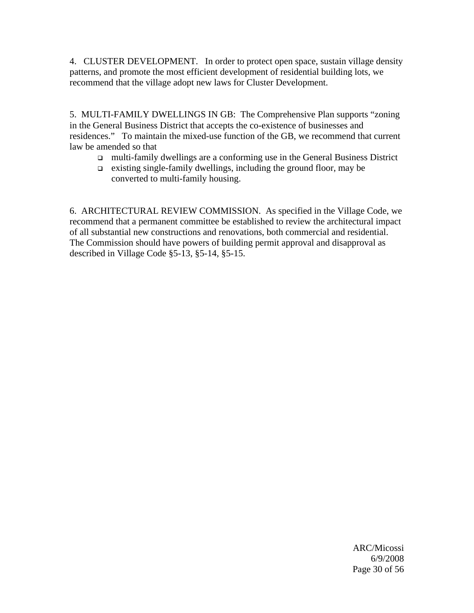4. CLUSTER DEVELOPMENT. In order to protect open space, sustain village density patterns, and promote the most efficient development of residential building lots, we recommend that the village adopt new laws for Cluster Development.

5. MULTI-FAMILY DWELLINGS IN GB: The Comprehensive Plan supports "zoning in the General Business District that accepts the co-existence of businesses and residences." To maintain the mixed-use function of the GB, we recommend that current law be amended so that

- multi-family dwellings are a conforming use in the General Business District
- $\Box$  existing single-family dwellings, including the ground floor, may be converted to multi-family housing.

6. ARCHITECTURAL REVIEW COMMISSION. As specified in the Village Code, we recommend that a permanent committee be established to review the architectural impact of all substantial new constructions and renovations, both commercial and residential. The Commission should have powers of building permit approval and disapproval as described in Village Code §5-13, §5-14, §5-15.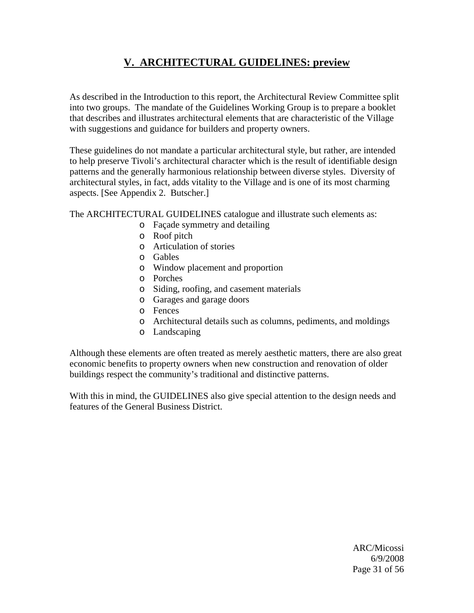## **V. ARCHITECTURAL GUIDELINES: preview**

As described in the Introduction to this report, the Architectural Review Committee split into two groups. The mandate of the Guidelines Working Group is to prepare a booklet that describes and illustrates architectural elements that are characteristic of the Village with suggestions and guidance for builders and property owners.

These guidelines do not mandate a particular architectural style, but rather, are intended to help preserve Tivoli's architectural character which is the result of identifiable design patterns and the generally harmonious relationship between diverse styles. Diversity of architectural styles, in fact, adds vitality to the Village and is one of its most charming aspects. [See Appendix 2. Butscher.]

The ARCHITECTURAL GUIDELINES catalogue and illustrate such elements as:

- o Façade symmetry and detailing
- o Roof pitch
- o Articulation of stories
- o Gables
- o Window placement and proportion
- o Porches
- o Siding, roofing, and casement materials
- o Garages and garage doors
- o Fences
- o Architectural details such as columns, pediments, and moldings
- o Landscaping

Although these elements are often treated as merely aesthetic matters, there are also great economic benefits to property owners when new construction and renovation of older buildings respect the community's traditional and distinctive patterns.

With this in mind, the GUIDELINES also give special attention to the design needs and features of the General Business District.

 ARC/Micossi 6/9/2008 Page 31 of 56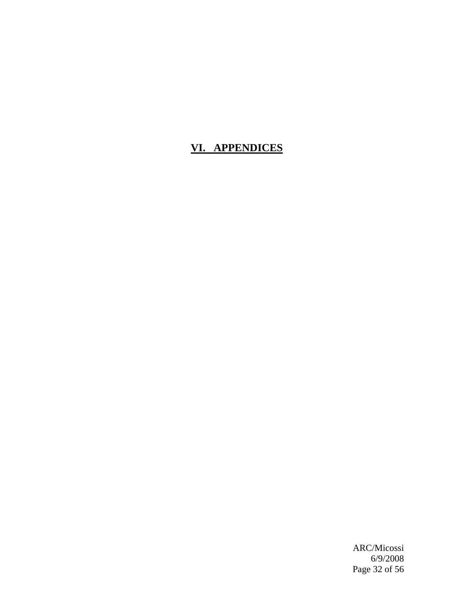## **VI. APPENDICES**

 ARC/Micossi 6/9/2008 Page 32 of 56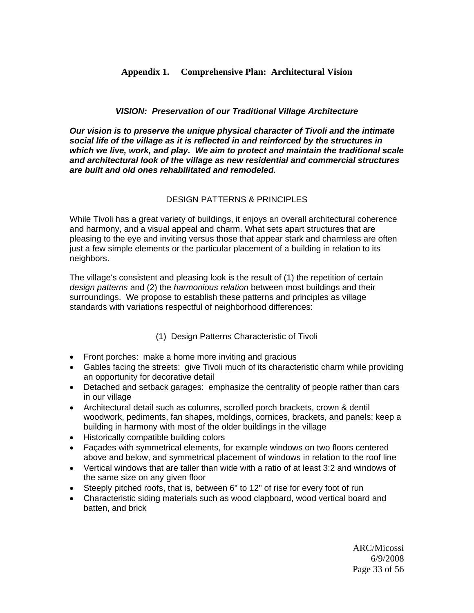### **Appendix 1. Comprehensive Plan: Architectural Vision**

#### *VISION: Preservation of our Traditional Village Architecture*

*Our vision is to preserve the unique physical character of Tivoli and the intimate social life of the village as it is reflected in and reinforced by the structures in which we live, work, and play. We aim to protect and maintain the traditional scale and architectural look of the village as new residential and commercial structures are built and old ones rehabilitated and remodeled.* 

#### DESIGN PATTERNS & PRINCIPLES

While Tivoli has a great variety of buildings, it enjoys an overall architectural coherence and harmony, and a visual appeal and charm. What sets apart structures that are pleasing to the eye and inviting versus those that appear stark and charmless are often just a few simple elements or the particular placement of a building in relation to its neighbors.

The village's consistent and pleasing look is the result of (1) the repetition of certain *design patterns* and (2) the *harmonious relation* between most buildings and their surroundings. We propose to establish these patterns and principles as village standards with variations respectful of neighborhood differences:

### (1) Design Patterns Characteristic of Tivoli

- Front porches: make a home more inviting and gracious
- Gables facing the streets: give Tivoli much of its characteristic charm while providing an opportunity for decorative detail
- Detached and setback garages: emphasize the centrality of people rather than cars in our village
- Architectural detail such as columns, scrolled porch brackets, crown & dentil woodwork, pediments, fan shapes, moldings, cornices, brackets, and panels: keep a building in harmony with most of the older buildings in the village
- Historically compatible building colors
- Façades with symmetrical elements, for example windows on two floors centered above and below, and symmetrical placement of windows in relation to the roof line
- Vertical windows that are taller than wide with a ratio of at least 3:2 and windows of the same size on any given floor
- Steeply pitched roofs, that is, between 6" to 12" of rise for every foot of run
- Characteristic siding materials such as wood clapboard, wood vertical board and batten, and brick

 ARC/Micossi 6/9/2008 Page 33 of 56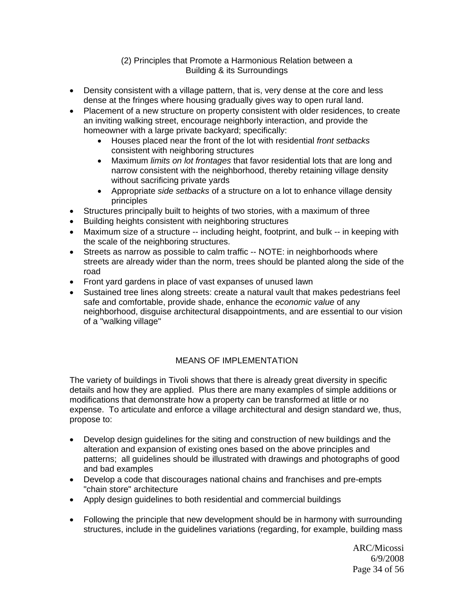#### (2) Principles that Promote a Harmonious Relation between a Building & its Surroundings

- Density consistent with a village pattern, that is, very dense at the core and less dense at the fringes where housing gradually gives way to open rural land.
- Placement of a new structure on property consistent with older residences, to create an inviting walking street, encourage neighborly interaction, and provide the homeowner with a large private backyard; specifically:
	- Houses placed near the front of the lot with residential *front setbacks* consistent with neighboring structures
	- Maximum *limits on lot frontages* that favor residential lots that are long and narrow consistent with the neighborhood, thereby retaining village density without sacrificing private yards
	- Appropriate *side setbacks* of a structure on a lot to enhance village density principles
- Structures principally built to heights of two stories, with a maximum of three
- Building heights consistent with neighboring structures
- Maximum size of a structure -- including height, footprint, and bulk -- in keeping with the scale of the neighboring structures.
- Streets as narrow as possible to calm traffic -- NOTE: in neighborhoods where streets are already wider than the norm, trees should be planted along the side of the road
- Front yard gardens in place of vast expanses of unused lawn
- Sustained tree lines along streets: create a natural vault that makes pedestrians feel safe and comfortable, provide shade, enhance the *economic value* of any neighborhood, disguise architectural disappointments, and are essential to our vision of a "walking village"

## MEANS OF IMPI EMENTATION

The variety of buildings in Tivoli shows that there is already great diversity in specific details and how they are applied. Plus there are many examples of simple additions or modifications that demonstrate how a property can be transformed at little or no expense. To articulate and enforce a village architectural and design standard we, thus, propose to:

- Develop design guidelines for the siting and construction of new buildings and the alteration and expansion of existing ones based on the above principles and patterns; all guidelines should be illustrated with drawings and photographs of good and bad examples
- Develop a code that discourages national chains and franchises and pre-empts "chain store" architecture
- Apply design guidelines to both residential and commercial buildings
- Following the principle that new development should be in harmony with surrounding structures, include in the guidelines variations (regarding, for example, building mass

 ARC/Micossi 6/9/2008 Page 34 of 56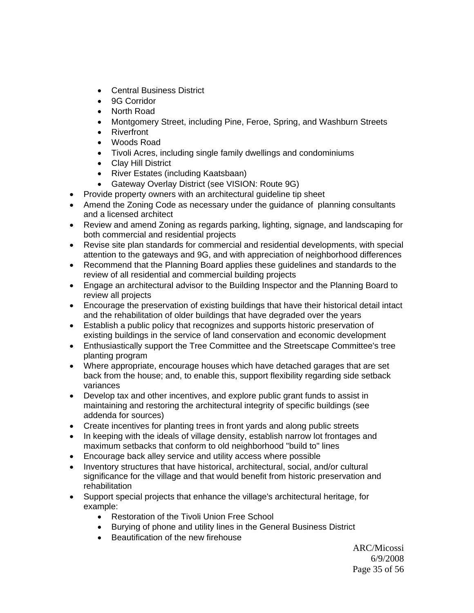- Central Business District
- 9G Corridor
- North Road
- Montgomery Street, including Pine, Feroe, Spring, and Washburn Streets
- Riverfront
- Woods Road
- Tivoli Acres, including single family dwellings and condominiums
- Clay Hill District
- River Estates (including Kaatsbaan)
- Gateway Overlay District (see VISION: Route 9G)
- Provide property owners with an architectural guideline tip sheet
- Amend the Zoning Code as necessary under the guidance of planning consultants and a licensed architect
- Review and amend Zoning as regards parking, lighting, signage, and landscaping for both commercial and residential projects
- Revise site plan standards for commercial and residential developments, with special attention to the gateways and 9G, and with appreciation of neighborhood differences
- Recommend that the Planning Board applies these guidelines and standards to the review of all residential and commercial building projects
- Engage an architectural advisor to the Building Inspector and the Planning Board to review all projects
- Encourage the preservation of existing buildings that have their historical detail intact and the rehabilitation of older buildings that have degraded over the years
- Establish a public policy that recognizes and supports historic preservation of existing buildings in the service of land conservation and economic development
- Enthusiastically support the Tree Committee and the Streetscape Committee's tree planting program
- Where appropriate, encourage houses which have detached garages that are set back from the house; and, to enable this, support flexibility regarding side setback variances
- Develop tax and other incentives, and explore public grant funds to assist in maintaining and restoring the architectural integrity of specific buildings (see addenda for sources)
- Create incentives for planting trees in front yards and along public streets
- In keeping with the ideals of village density, establish narrow lot frontages and maximum setbacks that conform to old neighborhood "build to" lines
- Encourage back alley service and utility access where possible
- Inventory structures that have historical, architectural, social, and/or cultural significance for the village and that would benefit from historic preservation and rehabilitation
- Support special projects that enhance the village's architectural heritage, for example:
	- Restoration of the Tivoli Union Free School
	- Burying of phone and utility lines in the General Business District
	- Beautification of the new firehouse

 ARC/Micossi 6/9/2008 Page 35 of 56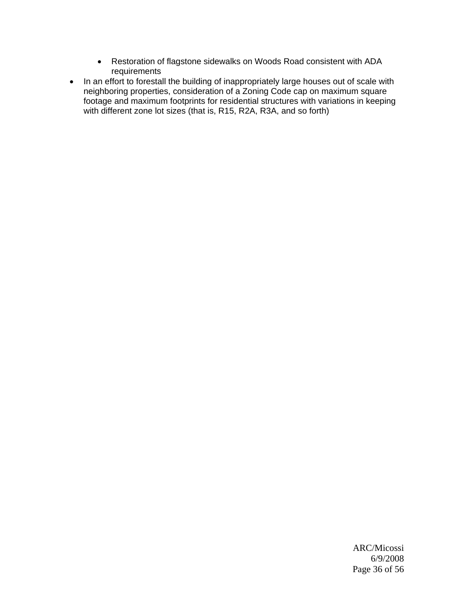- Restoration of flagstone sidewalks on Woods Road consistent with ADA requirements
- In an effort to forestall the building of inappropriately large houses out of scale with neighboring properties, consideration of a Zoning Code cap on maximum square footage and maximum footprints for residential structures with variations in keeping with different zone lot sizes (that is, R15, R2A, R3A, and so forth)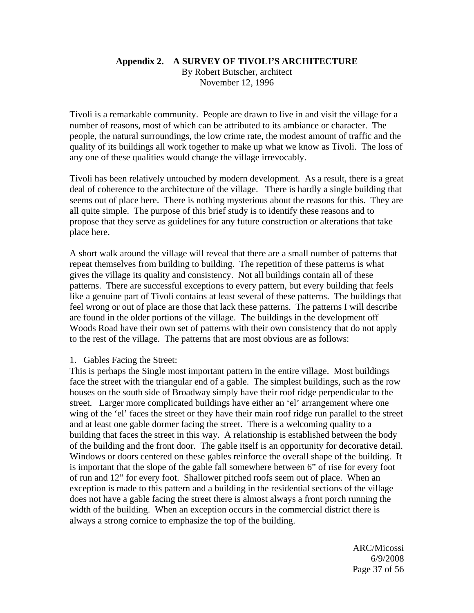## **Appendix 2. A SURVEY OF TIVOLI'S ARCHITECTURE**

By Robert Butscher, architect November 12, 1996

Tivoli is a remarkable community. People are drawn to live in and visit the village for a number of reasons, most of which can be attributed to its ambiance or character. The people, the natural surroundings, the low crime rate, the modest amount of traffic and the quality of its buildings all work together to make up what we know as Tivoli. The loss of any one of these qualities would change the village irrevocably.

Tivoli has been relatively untouched by modern development. As a result, there is a great deal of coherence to the architecture of the village. There is hardly a single building that seems out of place here. There is nothing mysterious about the reasons for this. They are all quite simple. The purpose of this brief study is to identify these reasons and to propose that they serve as guidelines for any future construction or alterations that take place here.

A short walk around the village will reveal that there are a small number of patterns that repeat themselves from building to building. The repetition of these patterns is what gives the village its quality and consistency. Not all buildings contain all of these patterns. There are successful exceptions to every pattern, but every building that feels like a genuine part of Tivoli contains at least several of these patterns. The buildings that feel wrong or out of place are those that lack these patterns. The patterns I will describe are found in the older portions of the village. The buildings in the development off Woods Road have their own set of patterns with their own consistency that do not apply to the rest of the village. The patterns that are most obvious are as follows:

#### 1. Gables Facing the Street:

This is perhaps the Single most important pattern in the entire village. Most buildings face the street with the triangular end of a gable. The simplest buildings, such as the row houses on the south side of Broadway simply have their roof ridge perpendicular to the street. Larger more complicated buildings have either an 'el' arrangement where one wing of the 'el' faces the street or they have their main roof ridge run parallel to the street and at least one gable dormer facing the street. There is a welcoming quality to a building that faces the street in this way. A relationship is established between the body of the building and the front door. The gable itself is an opportunity for decorative detail. Windows or doors centered on these gables reinforce the overall shape of the building. It is important that the slope of the gable fall somewhere between 6" of rise for every foot of run and 12" for every foot. Shallower pitched roofs seem out of place. When an exception is made to this pattern and a building in the residential sections of the village does not have a gable facing the street there is almost always a front porch running the width of the building. When an exception occurs in the commercial district there is always a strong cornice to emphasize the top of the building.

 ARC/Micossi 6/9/2008 Page 37 of 56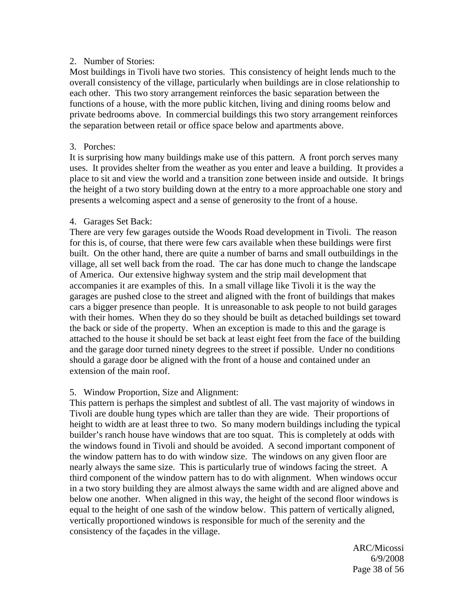#### 2. Number of Stories:

Most buildings in Tivoli have two stories. This consistency of height lends much to the overall consistency of the village, particularly when buildings are in close relationship to each other. This two story arrangement reinforces the basic separation between the functions of a house, with the more public kitchen, living and dining rooms below and private bedrooms above. In commercial buildings this two story arrangement reinforces the separation between retail or office space below and apartments above.

#### 3. Porches:

It is surprising how many buildings make use of this pattern. A front porch serves many uses. It provides shelter from the weather as you enter and leave a building. It provides a place to sit and view the world and a transition zone between inside and outside. It brings the height of a two story building down at the entry to a more approachable one story and presents a welcoming aspect and a sense of generosity to the front of a house.

#### 4. Garages Set Back:

There are very few garages outside the Woods Road development in Tivoli. The reason for this is, of course, that there were few cars available when these buildings were first built. On the other hand, there are quite a number of barns and small outbuildings in the village, all set well back from the road. The car has done much to change the landscape of America. Our extensive highway system and the strip mail development that accompanies it are examples of this. In a small village like Tivoli it is the way the garages are pushed close to the street and aligned with the front of buildings that makes cars a bigger presence than people. It is unreasonable to ask people to not build garages with their homes. When they do so they should be built as detached buildings set toward the back or side of the property. When an exception is made to this and the garage is attached to the house it should be set back at least eight feet from the face of the building and the garage door turned ninety degrees to the street if possible. Under no conditions should a garage door be aligned with the front of a house and contained under an extension of the main roof.

### 5. Window Proportion, Size and Alignment:

This pattern is perhaps the simplest and subtlest of all. The vast majority of windows in Tivoli are double hung types which are taller than they are wide. Their proportions of height to width are at least three to two. So many modern buildings including the typical builder's ranch house have windows that are too squat. This is completely at odds with the windows found in Tivoli and should be avoided. A second important component of the window pattern has to do with window size. The windows on any given floor are nearly always the same size. This is particularly true of windows facing the street. A third component of the window pattern has to do with alignment. When windows occur in a two story building they are almost always the same width and are aligned above and below one another. When aligned in this way, the height of the second floor windows is equal to the height of one sash of the window below. This pattern of vertically aligned, vertically proportioned windows is responsible for much of the serenity and the consistency of the façades in the village.

 ARC/Micossi 6/9/2008 Page 38 of 56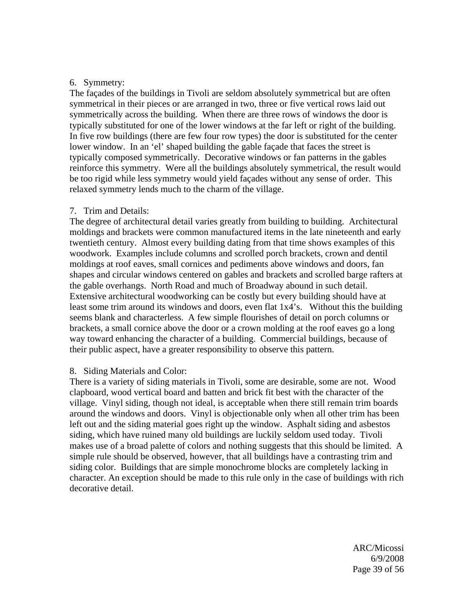#### 6. Symmetry:

The façades of the buildings in Tivoli are seldom absolutely symmetrical but are often symmetrical in their pieces or are arranged in two, three or five vertical rows laid out symmetrically across the building. When there are three rows of windows the door is typically substituted for one of the lower windows at the far left or right of the building. In five row buildings (there are few four row types) the door is substituted for the center lower window. In an 'el' shaped building the gable façade that faces the street is typically composed symmetrically. Decorative windows or fan patterns in the gables reinforce this symmetry. Were all the buildings absolutely symmetrical, the result would be too rigid while less symmetry would yield façades without any sense of order. This relaxed symmetry lends much to the charm of the village.

#### 7. Trim and Details:

The degree of architectural detail varies greatly from building to building. Architectural moldings and brackets were common manufactured items in the late nineteenth and early twentieth century. Almost every building dating from that time shows examples of this woodwork. Examples include columns and scrolled porch brackets, crown and dentil moldings at roof eaves, small cornices and pediments above windows and doors, fan shapes and circular windows centered on gables and brackets and scrolled barge rafters at the gable overhangs. North Road and much of Broadway abound in such detail. Extensive architectural woodworking can be costly but every building should have at least some trim around its windows and doors, even flat 1x4's. Without this the building seems blank and characterless. A few simple flourishes of detail on porch columns or brackets, a small cornice above the door or a crown molding at the roof eaves go a long way toward enhancing the character of a building. Commercial buildings, because of their public aspect, have a greater responsibility to observe this pattern.

#### 8. Siding Materials and Color:

There is a variety of siding materials in Tivoli, some are desirable, some are not. Wood clapboard, wood vertical board and batten and brick fit best with the character of the village. Vinyl siding, though not ideal, is acceptable when there still remain trim boards around the windows and doors. Vinyl is objectionable only when all other trim has been left out and the siding material goes right up the window. Asphalt siding and asbestos siding, which have ruined many old buildings are luckily seldom used today. Tivoli makes use of a broad palette of colors and nothing suggests that this should be limited. A simple rule should be observed, however, that all buildings have a contrasting trim and siding color. Buildings that are simple monochrome blocks are completely lacking in character. An exception should be made to this rule only in the case of buildings with rich decorative detail.

 ARC/Micossi 6/9/2008 Page 39 of 56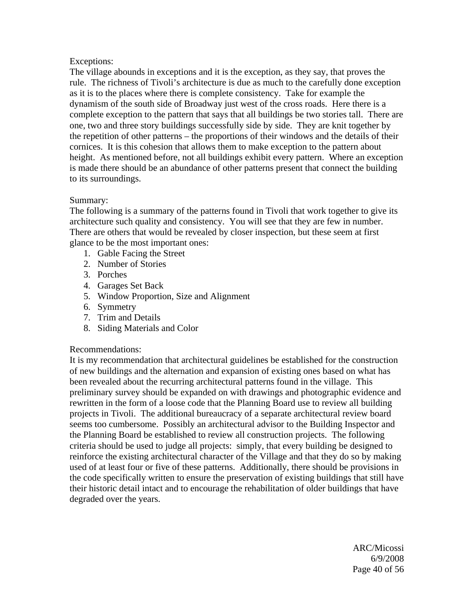#### Exceptions:

The village abounds in exceptions and it is the exception, as they say, that proves the rule. The richness of Tivoli's architecture is due as much to the carefully done exception as it is to the places where there is complete consistency. Take for example the dynamism of the south side of Broadway just west of the cross roads. Here there is a complete exception to the pattern that says that all buildings be two stories tall. There are one, two and three story buildings successfully side by side. They are knit together by the repetition of other patterns – the proportions of their windows and the details of their cornices. It is this cohesion that allows them to make exception to the pattern about height. As mentioned before, not all buildings exhibit every pattern. Where an exception is made there should be an abundance of other patterns present that connect the building to its surroundings.

#### Summary:

The following is a summary of the patterns found in Tivoli that work together to give its architecture such quality and consistency. You will see that they are few in number. There are others that would be revealed by closer inspection, but these seem at first glance to be the most important ones:

- 1. Gable Facing the Street
- 2. Number of Stories
- 3. Porches
- 4. Garages Set Back
- 5. Window Proportion, Size and Alignment
- 6. Symmetry
- 7. Trim and Details
- 8. Siding Materials and Color

#### Recommendations:

It is my recommendation that architectural guidelines be established for the construction of new buildings and the alternation and expansion of existing ones based on what has been revealed about the recurring architectural patterns found in the village. This preliminary survey should be expanded on with drawings and photographic evidence and rewritten in the form of a loose code that the Planning Board use to review all building projects in Tivoli. The additional bureaucracy of a separate architectural review board seems too cumbersome. Possibly an architectural advisor to the Building Inspector and the Planning Board be established to review all construction projects. The following criteria should be used to judge all projects: simply, that every building be designed to reinforce the existing architectural character of the Village and that they do so by making used of at least four or five of these patterns. Additionally, there should be provisions in the code specifically written to ensure the preservation of existing buildings that still have their historic detail intact and to encourage the rehabilitation of older buildings that have degraded over the years.

 ARC/Micossi 6/9/2008 Page 40 of 56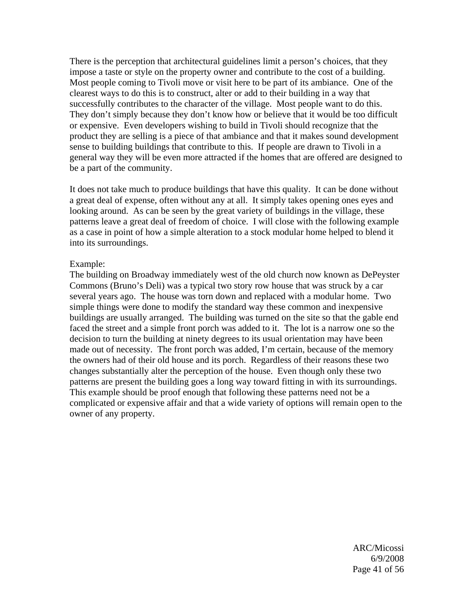There is the perception that architectural guidelines limit a person's choices, that they impose a taste or style on the property owner and contribute to the cost of a building. Most people coming to Tivoli move or visit here to be part of its ambiance. One of the clearest ways to do this is to construct, alter or add to their building in a way that successfully contributes to the character of the village. Most people want to do this. They don't simply because they don't know how or believe that it would be too difficult or expensive. Even developers wishing to build in Tivoli should recognize that the product they are selling is a piece of that ambiance and that it makes sound development sense to building buildings that contribute to this. If people are drawn to Tivoli in a general way they will be even more attracted if the homes that are offered are designed to be a part of the community.

It does not take much to produce buildings that have this quality. It can be done without a great deal of expense, often without any at all. It simply takes opening ones eyes and looking around. As can be seen by the great variety of buildings in the village, these patterns leave a great deal of freedom of choice. I will close with the following example as a case in point of how a simple alteration to a stock modular home helped to blend it into its surroundings.

#### Example:

The building on Broadway immediately west of the old church now known as DePeyster Commons (Bruno's Deli) was a typical two story row house that was struck by a car several years ago. The house was torn down and replaced with a modular home. Two simple things were done to modify the standard way these common and inexpensive buildings are usually arranged. The building was turned on the site so that the gable end faced the street and a simple front porch was added to it. The lot is a narrow one so the decision to turn the building at ninety degrees to its usual orientation may have been made out of necessity. The front porch was added, I'm certain, because of the memory the owners had of their old house and its porch. Regardless of their reasons these two changes substantially alter the perception of the house. Even though only these two patterns are present the building goes a long way toward fitting in with its surroundings. This example should be proof enough that following these patterns need not be a complicated or expensive affair and that a wide variety of options will remain open to the owner of any property.

 ARC/Micossi 6/9/2008 Page 41 of 56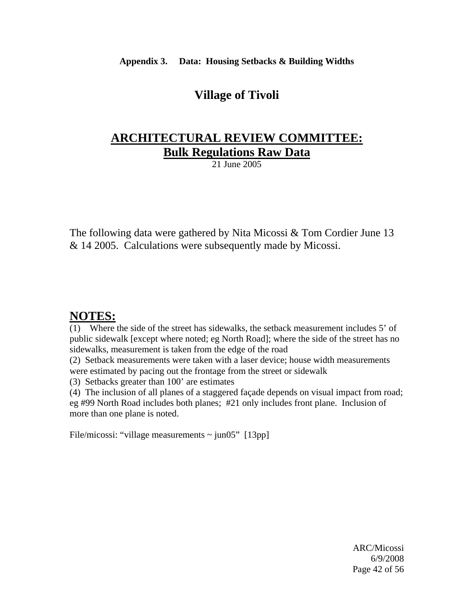**Appendix 3. Data: Housing Setbacks & Building Widths** 

## **Village of Tivoli**

## **ARCHITECTURAL REVIEW COMMITTEE: Bulk Regulations Raw Data**

21 June 2005

The following data were gathered by Nita Micossi & Tom Cordier June 13 & 14 2005. Calculations were subsequently made by Micossi.

## **NOTES:**

(1) Where the side of the street has sidewalks, the setback measurement includes 5' of public sidewalk [except where noted; eg North Road]; where the side of the street has no sidewalks, measurement is taken from the edge of the road

(2) Setback measurements were taken with a laser device; house width measurements were estimated by pacing out the frontage from the street or sidewalk

(3) Setbacks greater than 100' are estimates

(4) The inclusion of all planes of a staggered façade depends on visual impact from road; eg #99 North Road includes both planes; #21 only includes front plane. Inclusion of more than one plane is noted.

File/micossi: "village measurements  $\sim$  jun05" [13pp]

 ARC/Micossi 6/9/2008 Page 42 of 56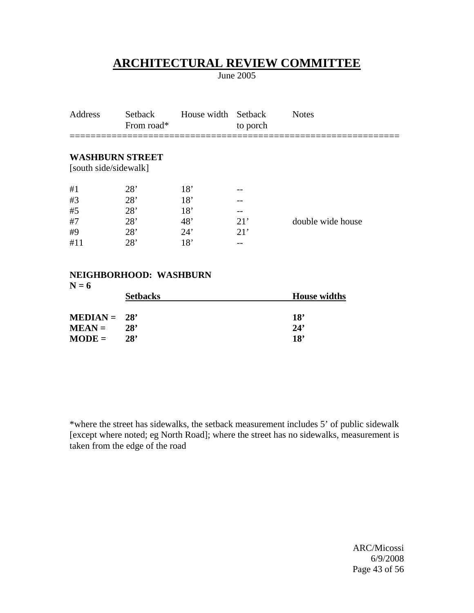June 2005

| Address               | Setback<br>From road*  | House width Setback | to porch | <b>Notes</b>      |
|-----------------------|------------------------|---------------------|----------|-------------------|
| [south side/sidewalk] | <b>WASHBURN STREET</b> |                     |          |                   |
| #1                    | 28'                    | 18'                 |          |                   |
| #3                    | 28'                    | 18'                 |          |                   |
| #5                    | 28'                    | 18'                 | $- -$    |                   |
| #7                    | 28'                    | 48'                 | 21'      | double wide house |
| #9                    | 28'                    | 24'                 | 21'      |                   |
| #11                   | 28'                    | 18'                 |          |                   |
|                       |                        |                     |          |                   |

#### **NEIGHBORHOOD: WASHBURN**

| <b>House widths</b> |
|---------------------|
| 18'                 |
| 24'                 |
| 18'                 |
|                     |

\*where the street has sidewalks, the setback measurement includes 5' of public sidewalk [except where noted; eg North Road]; where the street has no sidewalks, measurement is taken from the edge of the road

 ARC/Micossi 6/9/2008 Page 43 of 56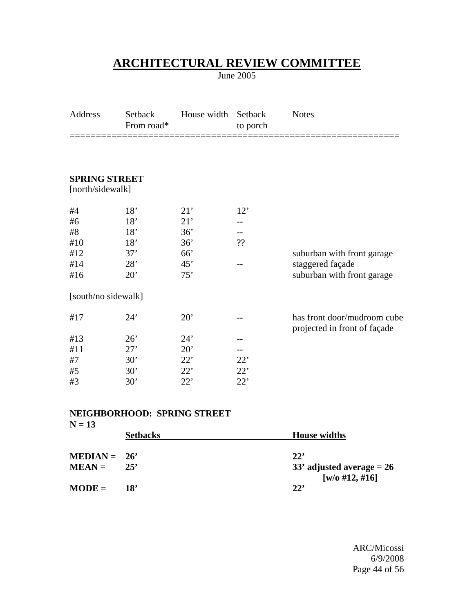June 2005

| Setback<br>From road* | House width | Setback<br>to porch | <b>Notes</b>                                                |
|-----------------------|-------------|---------------------|-------------------------------------------------------------|
|                       |             |                     |                                                             |
| <b>SPRING STREET</b>  |             |                     |                                                             |
| [north/sidewalk]      |             |                     |                                                             |
| 18'                   | 21'         | 12'                 |                                                             |
| 18'                   | 21'         |                     |                                                             |
| 18'                   | 36'         |                     |                                                             |
| 18'                   | 36'         | ??                  |                                                             |
| 37'                   | 66'         |                     | suburban with front garage                                  |
| 28'                   | 45'         |                     | staggered façade                                            |
| 20'                   | 75'         |                     | suburban with front garage                                  |
| [south/no sidewalk]   |             |                     |                                                             |
| 24'                   | 20'         |                     | has front door/mudroom cube<br>projected in front of façade |
| 26'                   | 24'         |                     |                                                             |
| 27'                   | 20'         |                     |                                                             |
| 30'                   | 22'         | 22'                 |                                                             |
| 30'                   | 22'         | 22'                 |                                                             |
| 30'                   | 22'         | 22'                 |                                                             |
|                       |             |                     |                                                             |

#### **NEIGHBORHOOD: SPRING STREET**

| $N = 13$       |                 |                                |
|----------------|-----------------|--------------------------------|
|                | <b>Setbacks</b> | <b>House widths</b>            |
| $MEDIAN = 26'$ |                 | 22'                            |
| $MEAN =$       | 25'             | 33' adjusted average $= 26$    |
| $MODE =$       | 18'             | [w/o #12, #16]<br>$22^{\circ}$ |

 ARC/Micossi 6/9/2008 Page 44 of 56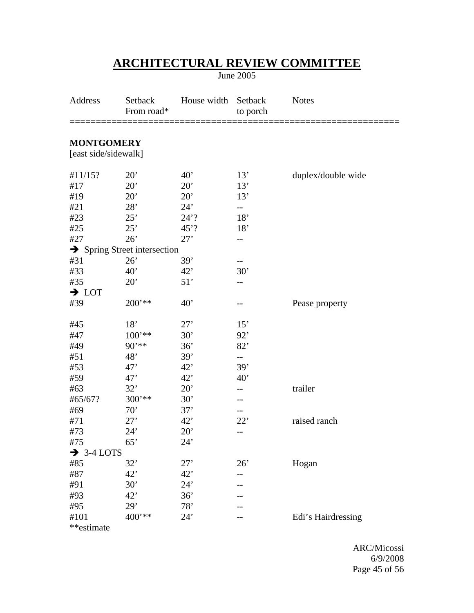June 2005

| Address                                   | Setback<br>From road*                    | House width  | Setback<br>to porch | <b>Notes</b>       |
|-------------------------------------------|------------------------------------------|--------------|---------------------|--------------------|
| <b>MONTGOMERY</b><br>[east side/sidewalk] |                                          |              |                     |                    |
| #11/15?                                   | $20^{\circ}$                             | $40^{\circ}$ | 13'                 | duplex/double wide |
| #17                                       | 20'                                      | 20'          | 13'                 |                    |
| #19                                       | 20'                                      | 20'          | 13'                 |                    |
| #21                                       | 28'                                      | 24'          |                     |                    |
| #23                                       | 25'                                      | $24'$ ?      | 18'                 |                    |
| #25                                       | 25'                                      | $45$ ?       | 18'                 |                    |
| #27                                       | 26'                                      | 27'          | --                  |                    |
|                                           | $\rightarrow$ Spring Street intersection |              |                     |                    |
| #31                                       | 26'                                      | 39'          |                     |                    |
| #33                                       | 40'                                      | 42'          | 30'                 |                    |
| #35                                       | 20'                                      | 51'          |                     |                    |
| $\rightarrow$ LOT                         |                                          |              |                     |                    |
| #39                                       | $200**$                                  | 40'          |                     | Pease property     |
| #45                                       | 18'                                      | 27'          | 15'                 |                    |
| #47                                       | $100$ '**                                | 30'          | 92'                 |                    |
| #49                                       | $90***$                                  | 36'          | 82'                 |                    |
| #51                                       | 48'                                      | 39'          | $-$                 |                    |
| #53                                       | 47'                                      | 42'          | 39'                 |                    |
| #59                                       | 47'                                      | 42'          | 40'                 |                    |
| #63                                       | 32'                                      | 20'          | --                  | trailer            |
| #65/67?                                   | $300**$                                  | 30'          |                     |                    |
| #69                                       | 70'                                      | 37'          | --                  |                    |
| #71                                       | 27'                                      | 42'          | 22'                 | raised ranch       |
| #73                                       | 24'                                      | 20'          | --                  |                    |
| #75                                       | 65'                                      | 24'          |                     |                    |
| $\rightarrow$ 3-4 LOTS                    |                                          |              |                     |                    |
| #85                                       | 32'                                      | 27'          | 26'                 | Hogan              |
| #87                                       | 42'                                      | 42'          |                     |                    |
| #91                                       | 30'                                      | 24'          |                     |                    |
| #93                                       | 42'                                      | 36'          |                     |                    |
| #95                                       | 29'                                      | 78'          |                     |                    |
| #101                                      | $400$ '**                                | 24'          |                     | Edi's Hairdressing |
| **estimate                                |                                          |              |                     |                    |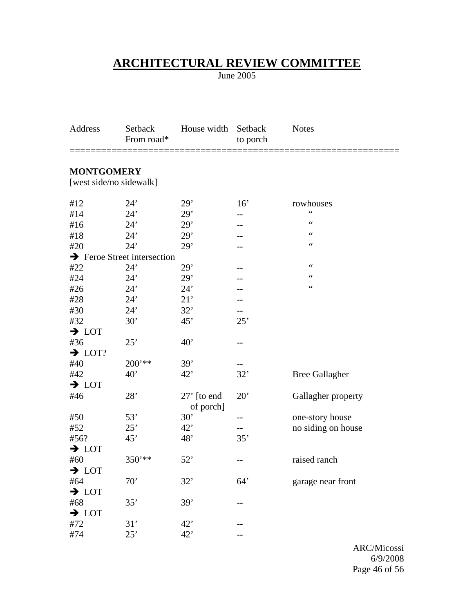June 2005

| Address                                 | Setback<br>From road* | House width                | Setback<br>to porch | <b>Notes</b>          |
|-----------------------------------------|-----------------------|----------------------------|---------------------|-----------------------|
| <b>MONTGOMERY</b>                       |                       |                            |                     |                       |
| [west side/no sidewalk]                 |                       |                            |                     |                       |
| #12                                     | 24'                   | 29'                        | 16'                 | rowhouses             |
| #14                                     | 24'                   | 29'                        |                     | $\zeta$ $\zeta$       |
| #16                                     | 24'                   | 29'                        |                     | $\zeta$ $\zeta$       |
| #18                                     | 24'                   | 29'                        |                     | $\zeta$ $\zeta$       |
| #20                                     | 24'                   | 29'                        |                     | $\zeta$ $\zeta$       |
| $\rightarrow$ Feroe Street intersection |                       |                            |                     |                       |
| #22                                     | 24'                   | 29'                        |                     | $\mbox{\bf 6}$        |
| #24                                     | 24'                   | 29'                        |                     | $\mbox{\bf 6}$        |
| #26                                     | 24'                   | 24'                        |                     | $\mbox{\bf 6}$        |
| #28                                     | 24'                   | 21'                        |                     |                       |
| #30                                     | 24'                   | 32'                        |                     |                       |
| #32                                     | 30'                   | 45'                        | 25'                 |                       |
| $\rightarrow$ LOT                       |                       |                            |                     |                       |
| #36                                     | 25'                   | 40'                        | --                  |                       |
| $\rightarrow$ LOT?                      |                       |                            |                     |                       |
| #40                                     | $200$ '**             | 39'                        |                     |                       |
| #42                                     | 40'                   | 42'                        | 32'                 | <b>Bree Gallagher</b> |
| $\rightarrow$ LOT                       |                       |                            |                     |                       |
| #46                                     | 28'                   | $27'$ [to end<br>of porch] | 20'                 | Gallagher property    |
| #50                                     | 53'                   | 30'                        | --                  | one-story house       |
| #52                                     | 25'                   | 42'                        | --                  | no siding on house    |
| #56?                                    | 45'                   | 48'                        | 35'                 |                       |
| $\rightarrow$ LOT                       |                       |                            |                     |                       |
| #60                                     | 350'**                | 52'                        |                     | raised ranch          |
| $\rightarrow$ LOT                       |                       |                            |                     |                       |
| #64                                     | 70'                   | 32'                        | 64'                 | garage near front     |
| $\rightarrow$ LOT                       |                       |                            |                     |                       |
| #68                                     | 35'                   | 39'                        |                     |                       |
| $\rightarrow$ LOT                       |                       |                            |                     |                       |
| #72                                     | 31'                   | 42'                        |                     |                       |
| #74                                     | 25'                   | 42'                        |                     |                       |

 ARC/Micossi 6/9/2008 Page 46 of 56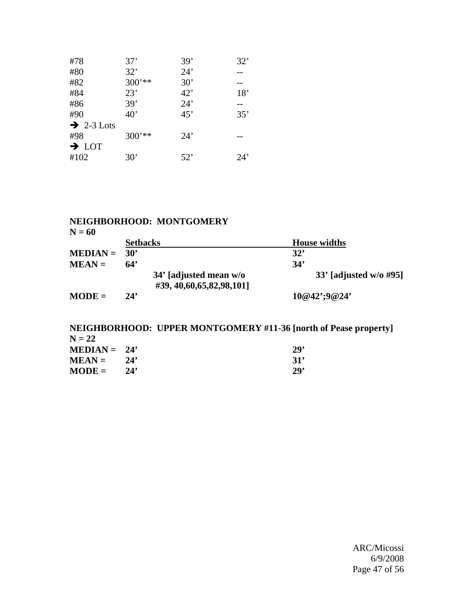| 24'<br>32'<br>#80                 |     |
|-----------------------------------|-----|
|                                   |     |
| $300***$<br>30'<br>#82            |     |
| 23'<br>42'<br>#84                 | 18' |
| 39'<br>24'<br>#86<br>--           |     |
| 35'<br>$40^{\circ}$<br>45'<br>#90 |     |
| $\rightarrow$ 2-3 Lots            |     |
| 300'**<br>24'<br>#98              |     |
| $\rightarrow$ LOT                 |     |
| #102<br>30'<br>52'                | 24' |

#### **NEIGHBORHOOD: MONTGOMERY**

| v.<br>۰, | × |
|----------|---|
|----------|---|

|                | <b>Setbacks</b>                                         | <b>House widths</b>      |
|----------------|---------------------------------------------------------|--------------------------|
| $MEDIAN = 30'$ |                                                         | 32'                      |
| $MEAN =$       | 64'                                                     | 34'                      |
|                | 34' [adjusted mean w/o<br>#39, 40, 60, 65, 82, 98, 101] | $33'$ [adjusted w/o #95] |
| $MODE =$       | 24'                                                     | $10@42$ ';9@24'          |

#### **NEIGHBORHOOD: UPPER MONTGOMERY #11-36 [north of Pease property]**   $N = 22$ **MEDIAN** = 24' 29'<br> **MEAN** = 24' 31' **MEAN** = 24' 31'<br> **MODE** = 24' 29'  $$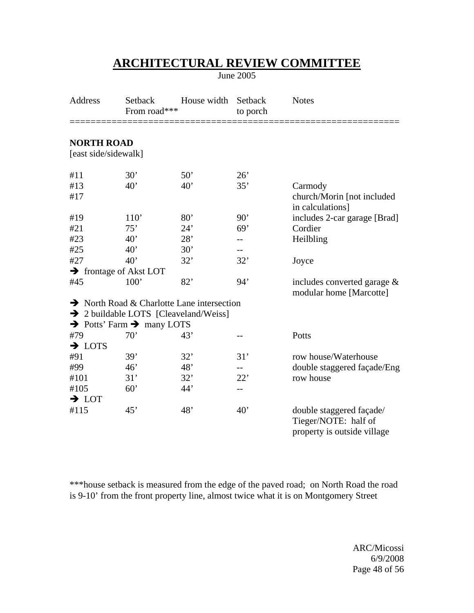June 2005

| Address                                   | Setback<br>From road***                           | House width                                            | Setback<br>to porch | <b>Notes</b>                                                                    |
|-------------------------------------------|---------------------------------------------------|--------------------------------------------------------|---------------------|---------------------------------------------------------------------------------|
| <b>NORTH ROAD</b><br>[east side/sidewalk] |                                                   |                                                        |                     |                                                                                 |
|                                           |                                                   |                                                        | 26'                 |                                                                                 |
| #11<br>#13                                | 30'<br>40'                                        | 50'<br>40'                                             | 35'                 | Carmody                                                                         |
| #17                                       |                                                   |                                                        |                     | church/Morin [not included                                                      |
|                                           |                                                   |                                                        |                     | in calculations]                                                                |
| #19                                       | 110'                                              | 80'                                                    | 90'                 | includes 2-car garage [Brad]                                                    |
| #21                                       | 75'                                               | 24'                                                    | 69'                 | Cordier                                                                         |
| #23                                       | $40^{\circ}$                                      | 28'                                                    | $-$                 | Heilbling                                                                       |
| #25                                       | 40'                                               | 30'                                                    | --                  |                                                                                 |
| #27                                       | 40'                                               | 32'                                                    | 32'                 | Joyce                                                                           |
|                                           | → frontage of Akst LOT                            |                                                        |                     |                                                                                 |
| #45                                       | 100'                                              | 82'                                                    | 94'                 | includes converted garage &<br>modular home [Marcotte]                          |
|                                           |                                                   | $\rightarrow$ North Road & Charlotte Lane intersection |                     |                                                                                 |
|                                           |                                                   | > 2 buildable LOTS [Cleaveland/Weiss]                  |                     |                                                                                 |
|                                           | $\rightarrow$ Potts' Farm $\rightarrow$ many LOTS |                                                        |                     |                                                                                 |
| #79                                       | 70'                                               | 43'                                                    | --                  | Potts                                                                           |
| $\rightarrow$ LOTS                        |                                                   |                                                        |                     |                                                                                 |
| #91                                       | 39'                                               | 32'                                                    | 31'                 | row house/Waterhouse                                                            |
| #99                                       | 46'                                               | 48'                                                    | --                  | double staggered façade/Eng                                                     |
| #101                                      | 31'                                               | 32'                                                    | 22'                 | row house                                                                       |
| #105                                      | 60'                                               | 44'                                                    | --                  |                                                                                 |
| $\rightarrow$ LOT                         |                                                   |                                                        |                     |                                                                                 |
| #115                                      | 45'                                               | 48'                                                    | 40'                 | double staggered façade/<br>Tieger/NOTE: half of<br>property is outside village |

\*\*\*house setback is measured from the edge of the paved road; on North Road the road is 9-10' from the front property line, almost twice what it is on Montgomery Street

 ARC/Micossi 6/9/2008 Page 48 of 56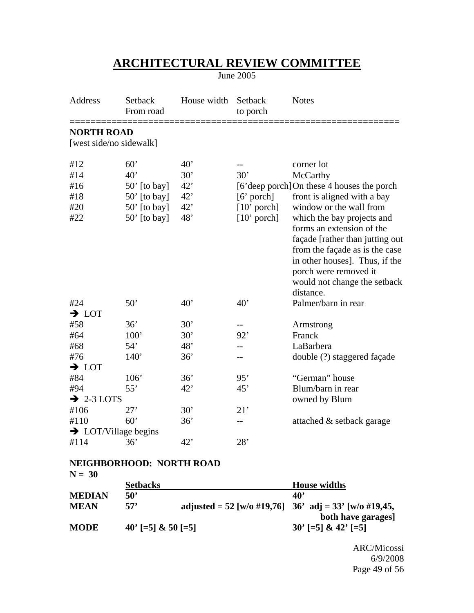June 2005

| Address                | Setback<br>From road             | House width  | Setback<br>to porch | <b>Notes</b>                                                                                                                                                                                                                         |
|------------------------|----------------------------------|--------------|---------------------|--------------------------------------------------------------------------------------------------------------------------------------------------------------------------------------------------------------------------------------|
| <b>NORTH ROAD</b>      |                                  |              |                     |                                                                                                                                                                                                                                      |
|                        | [west side/no sidewalk]          |              |                     |                                                                                                                                                                                                                                      |
| #12                    | 60'                              | 40'          |                     | corner lot                                                                                                                                                                                                                           |
| #14                    | 40'                              | 30'          | 30'                 | McCarthy                                                                                                                                                                                                                             |
| #16                    | $50'$ [to bay]                   | 42'          |                     | [6'deep porch] On these 4 houses the porch                                                                                                                                                                                           |
| #18                    | $50'$ [to bay]                   | 42'          | $[6'$ porch]        | front is aligned with a bay                                                                                                                                                                                                          |
| #20                    | $50'$ [to bay]                   | 42'          | $[10'$ porch]       | window or the wall from                                                                                                                                                                                                              |
| #22                    | $50'$ [to bay]                   | 48'          | $[10'$ porch]       | which the bay projects and<br>forms an extension of the<br>façade [rather than jutting out<br>from the façade as is the case<br>in other houses]. Thus, if the<br>porch were removed it<br>would not change the setback<br>distance. |
| #24                    | 50'                              | $40^{\circ}$ | 40'                 | Palmer/barn in rear                                                                                                                                                                                                                  |
| $\rightarrow$ LOT      |                                  |              |                     |                                                                                                                                                                                                                                      |
| #58                    | 36'                              | 30'          |                     | Armstrong                                                                                                                                                                                                                            |
| #64                    | 100'                             | 30'          | 92'                 | Franck                                                                                                                                                                                                                               |
| #68                    | 54'                              | 48'          |                     | LaBarbera                                                                                                                                                                                                                            |
| #76                    | 140'                             | 36'          |                     | double (?) staggered façade                                                                                                                                                                                                          |
| $\rightarrow$ LOT      |                                  |              |                     |                                                                                                                                                                                                                                      |
| #84                    | 106'                             | 36'          | 95'                 | "German" house                                                                                                                                                                                                                       |
| #94                    | 55'                              | 42'          | 45'                 | Blum/barn in rear                                                                                                                                                                                                                    |
| $\rightarrow$ 2-3 LOTS |                                  |              |                     | owned by Blum                                                                                                                                                                                                                        |
| #106                   | 27'                              | 30'          | 21'                 |                                                                                                                                                                                                                                      |
| #110                   | 60'                              | 36'          |                     | attached & setback garage                                                                                                                                                                                                            |
|                        | $\rightarrow$ LOT/Village begins |              |                     |                                                                                                                                                                                                                                      |
| #114                   | 36'                              | 42'          | 28'                 |                                                                                                                                                                                                                                      |

#### **NEIGHBORHOOD: NORTH ROAD N = 30**

| $N = 30$      |                      |                                                       |
|---------------|----------------------|-------------------------------------------------------|
|               | <b>Setbacks</b>      | <b>House widths</b>                                   |
| <b>MEDIAN</b> | 50 <sup>'</sup>      | $40^{\circ}$                                          |
| <b>MEAN</b>   | 57'                  | adjusted = 52 [w/o #19,76] 36' adj = 33' [w/o #19,45, |
|               |                      | both have garages]                                    |
| <b>MODE</b>   | $40'$ [=5] & 50 [=5] | $30'$ [=5] & 42' [=5]                                 |

 ARC/Micossi 6/9/2008 Page 49 of 56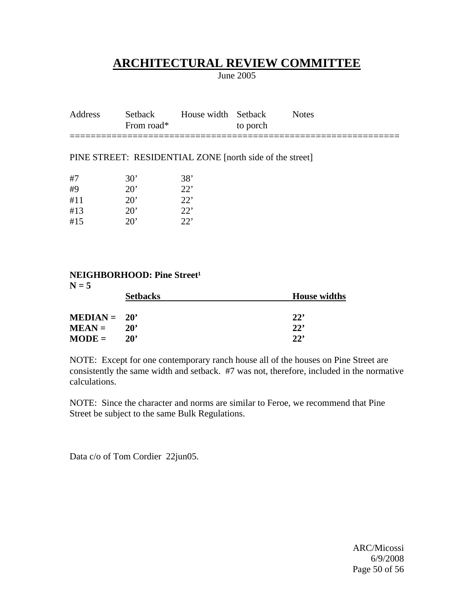June 2005

| Address | From road* | Setback House width Setback | to porch | <b>Notes</b> |
|---------|------------|-----------------------------|----------|--------------|
|         |            |                             |          |              |

#### PINE STREET: RESIDENTIAL ZONE [north side of the street]

| #7  | $30^{\circ}$ | 38'          |
|-----|--------------|--------------|
| #9  | $20^{\circ}$ | 22'          |
| #11 | $20^{\circ}$ | 22           |
| #13 | $20^{\circ}$ | $22^{\circ}$ |
| #15 | $20^{\circ}$ | 22           |

### **NEIGHBORHOOD: Pine Street<sup>1</sup>**

| $N = 5$        |                 |                     |  |  |
|----------------|-----------------|---------------------|--|--|
|                | <b>Setbacks</b> | <b>House widths</b> |  |  |
|                |                 |                     |  |  |
| $MEDIAN = 20'$ |                 | 22'                 |  |  |
| $MEAN =$       | $20^{\circ}$    | 22'                 |  |  |
| $MODE =$       | $20^{\circ}$    | 22'                 |  |  |

NOTE: Except for one contemporary ranch house all of the houses on Pine Street are consistently the same width and setback. #7 was not, therefore, included in the normative calculations.

NOTE: Since the character and norms are similar to Feroe, we recommend that Pine Street be subject to the same Bulk Regulations.

Data c/o of Tom Cordier 22jun05.

 ARC/Micossi 6/9/2008 Page 50 of 56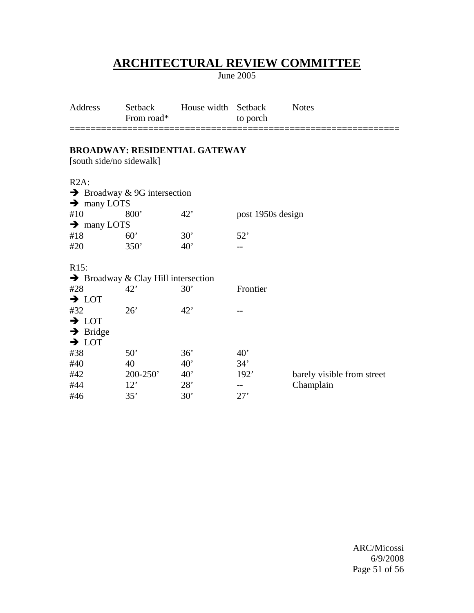June 2005

| Address | From road* | Setback          House width Setback | to porch | Notes |
|---------|------------|--------------------------------------|----------|-------|
|         |            |                                      |          |       |

## **BROADWAY: RESIDENTIAL GATEWAY**

[south side/no sidewalk]

R2A:

| $\rightarrow$ many LOTS | $\rightarrow$ Broadway & 9G intersection        |              |                   |                            |
|-------------------------|-------------------------------------------------|--------------|-------------------|----------------------------|
| #10                     | 800 <sup>'</sup>                                | 42'          | post 1950s design |                            |
| $\rightarrow$ many LOTS |                                                 |              |                   |                            |
| #18                     | $60^{\circ}$                                    | $30^{\circ}$ | 52'               |                            |
| #20                     | 350'                                            | 40'          |                   |                            |
| R <sub>15</sub> :       |                                                 |              |                   |                            |
|                         | $\rightarrow$ Broadway & Clay Hill intersection |              |                   |                            |
| #28                     | 42'                                             | 30'          | Frontier          |                            |
| $\rightarrow$ LOT       |                                                 |              |                   |                            |
| #32                     | 26'                                             | 42'          |                   |                            |
| $\rightarrow$ LOT       |                                                 |              |                   |                            |
| $\rightarrow$ Bridge    |                                                 |              |                   |                            |
| $\rightarrow$ LOT       |                                                 |              |                   |                            |
| #38                     | 50'                                             | 36'          | 40'               |                            |
| #40                     | 40                                              | 40'          | 34'               |                            |
| #42                     | $200 - 250'$                                    | 40'          | 192'              | barely visible from street |
| #44                     | 12'                                             | 28'          |                   | Champlain                  |
| #46                     | 35'                                             | 30'          | 27'               |                            |

 ARC/Micossi 6/9/2008 Page 51 of 56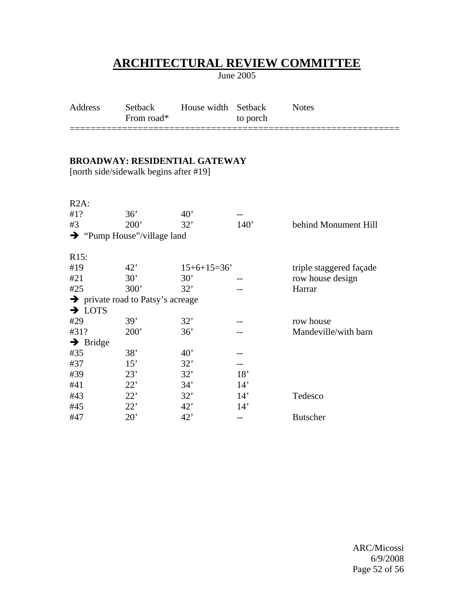June 2005

| Address | Setback<br>From road* | House width Setback | to porch | <b>Notes</b> |
|---------|-----------------------|---------------------|----------|--------------|
|         |                       |                     |          |              |

### **BROADWAY: RESIDENTIAL GATEWAY**

[north side/sidewalk begins after #19]

| $R2A$ :              |                                               |               |      |                         |
|----------------------|-----------------------------------------------|---------------|------|-------------------------|
| #1?                  | 36'                                           | $40^{\circ}$  |      |                         |
| #3                   | 200'                                          | 32'           | 140' | behind Monument Hill    |
|                      | $\rightarrow$ "Pump House"/village land       |               |      |                         |
| R15:                 |                                               |               |      |                         |
| #19                  | 42'                                           | $15+6+15=36'$ |      | triple staggered façade |
| #21                  | 30'                                           | 30'           |      | row house design        |
| #25                  | 300'                                          | 32'           |      | Harrar                  |
|                      | $\rightarrow$ private road to Patsy's acreage |               |      |                         |
| $\rightarrow$ LOTS   |                                               |               |      |                         |
| #29                  | 39'                                           | 32'           |      | row house               |
| #31?                 | 200'                                          | 36'           |      | Mandeville/with barn    |
| $\rightarrow$ Bridge |                                               |               |      |                         |
| #35                  | 38'                                           | $40^{\circ}$  |      |                         |
| #37                  | 15'                                           | 32'           |      |                         |
| #39                  | 23'                                           | 32'           | 18'  |                         |
| #41                  | 22'                                           | 34'           | 14'  |                         |
| #43                  | 22'                                           | 32'           | 14'  | Tedesco                 |
| #45                  | 22'                                           | 42'           | 14'  |                         |
| #47                  | $20^{\circ}$                                  | 42'           | --   | <b>Butscher</b>         |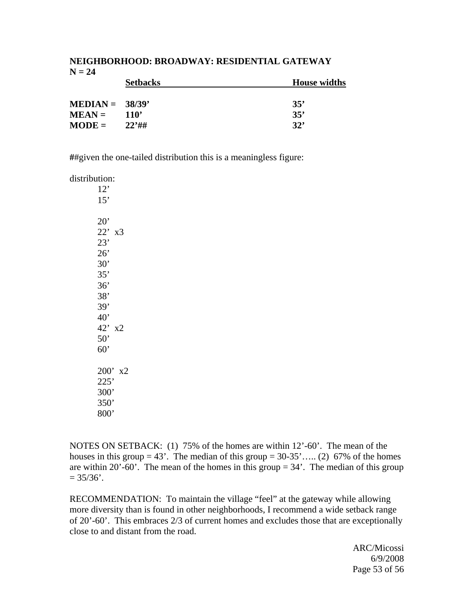## **NEIGHBORHOOD: BROADWAY: RESIDENTIAL GATEWAY**   $N = 24$

|                   | <b>Setbacks</b>  | <b>House widths</b> |
|-------------------|------------------|---------------------|
|                   |                  |                     |
| $MEDIAN = 38/39'$ |                  | 35'                 |
| $MEAN =$          | 110 <sup>'</sup> | 35'                 |
| $MODE =$          | $22'$ ##         | 32'                 |

**#**#given the one-tailed distribution this is a meaningless figure:

distribution:

| 12'<br>15'      |    |
|-----------------|----|
| 20'             |    |
| $22'$ x3<br>23' |    |
| 26'             |    |
| 30'             |    |
| 35'             |    |
| 36'             |    |
| 38'             |    |
| 39'             |    |
| $40^{\circ}$    |    |
| 42'             | x2 |
| 50'             |    |
| 60'             |    |
| 200'            | x2 |
| 225'            |    |
| 300'            |    |
| 350'            |    |
| 800"            |    |

NOTES ON SETBACK: (1) 75% of the homes are within 12'-60'. The mean of the houses in this group  $= 43'$ . The median of this group  $= 30-35'$ ….. (2) 67% of the homes are within 20'-60'. The mean of the homes in this group  $= 34$ '. The median of this group  $= 35/36'$ .

RECOMMENDATION: To maintain the village "feel" at the gateway while allowing more diversity than is found in other neighborhoods, I recommend a wide setback range of 20'-60'. This embraces 2/3 of current homes and excludes those that are exceptionally close to and distant from the road.

 ARC/Micossi 6/9/2008 Page 53 of 56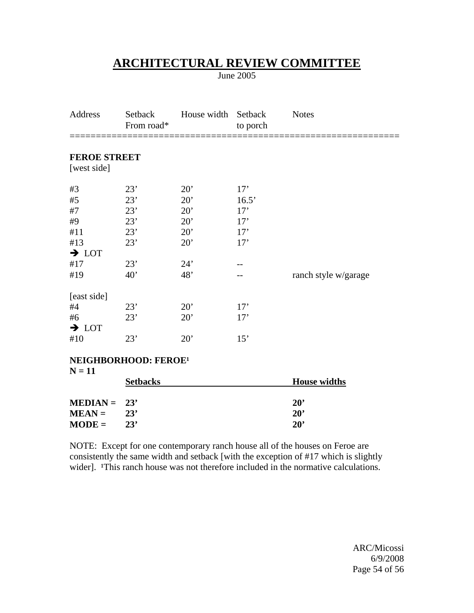June 2005

| Address                                      | Setback<br>From road* | House width | Setback<br>to porch | <b>Notes</b>         |  |
|----------------------------------------------|-----------------------|-------------|---------------------|----------------------|--|
| <b>FEROE STREET</b><br>[west side]           |                       |             |                     |                      |  |
| #3                                           | 23'                   | 20'         | 17'                 |                      |  |
| #5                                           | 23'                   | 20'         | 16.5'               |                      |  |
| #7                                           | 23'                   | 20'         | 17'                 |                      |  |
| #9                                           | 23'                   | 20'         | 17'                 |                      |  |
| #11                                          | 23'                   | 20'         | 17'                 |                      |  |
| #13                                          | 23'                   | 20'         | 17'                 |                      |  |
| $\rightarrow$ LOT                            |                       |             |                     |                      |  |
| #17                                          | 23'                   | 24'         |                     |                      |  |
| #19                                          | 40'                   | 48'         |                     | ranch style w/garage |  |
| [east side]                                  |                       |             |                     |                      |  |
| #4                                           | 23'                   | 20'         | 17'                 |                      |  |
| #6                                           | 23'                   | 20'         | 17'                 |                      |  |
| $\rightarrow$ LOT                            |                       |             |                     |                      |  |
| #10                                          | 23'                   | 20'         | 15'                 |                      |  |
| NEIGHBORHOOD: FEROE <sup>1</sup><br>$N = 11$ |                       |             |                     |                      |  |
|                                              | <b>Setbacks</b>       |             |                     | <b>House widths</b>  |  |

|                | SCLUAURS | TIQUSE WIULL |  |
|----------------|----------|--------------|--|
|                |          |              |  |
| $MEDIAN = 23'$ |          | $20^{\circ}$ |  |
| $MEAN =$       | 23'      | $20^{\circ}$ |  |
| $MODE =$       | 23'      | $20^{\circ}$ |  |

NOTE: Except for one contemporary ranch house all of the houses on Feroe are consistently the same width and setback [with the exception of #17 which is slightly wider]. <sup>1</sup>This ranch house was not therefore included in the normative calculations.

 ARC/Micossi 6/9/2008 Page 54 of 56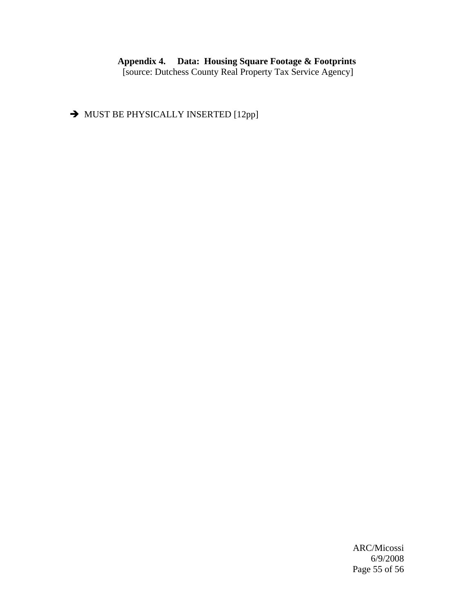#### **Appendix 4. Data: Housing Square Footage & Footprints**  [source: Dutchess County Real Property Tax Service Agency]

 $\rightarrow$  MUST BE PHYSICALLY INSERTED [12pp]

 ARC/Micossi 6/9/2008 Page 55 of 56